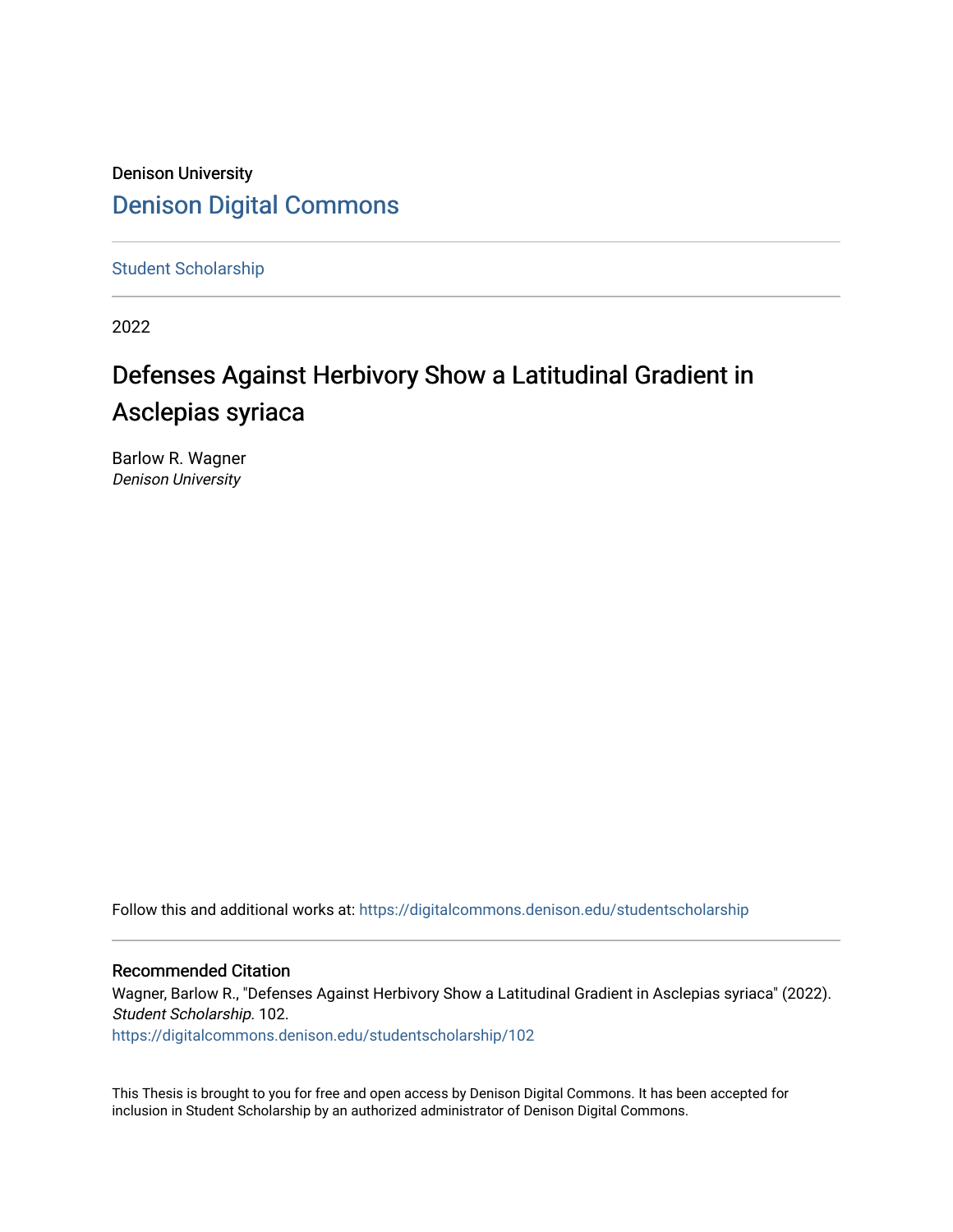# Denison University [Denison Digital Commons](https://digitalcommons.denison.edu/)

[Student Scholarship](https://digitalcommons.denison.edu/studentscholarship)

2022

# Defenses Against Herbivory Show a Latitudinal Gradient in Asclepias syriaca

Barlow R. Wagner Denison University

Follow this and additional works at: [https://digitalcommons.denison.edu/studentscholarship](https://digitalcommons.denison.edu/studentscholarship?utm_source=digitalcommons.denison.edu%2Fstudentscholarship%2F102&utm_medium=PDF&utm_campaign=PDFCoverPages) 

#### Recommended Citation

Wagner, Barlow R., "Defenses Against Herbivory Show a Latitudinal Gradient in Asclepias syriaca" (2022). Student Scholarship. 102.

[https://digitalcommons.denison.edu/studentscholarship/102](https://digitalcommons.denison.edu/studentscholarship/102?utm_source=digitalcommons.denison.edu%2Fstudentscholarship%2F102&utm_medium=PDF&utm_campaign=PDFCoverPages) 

This Thesis is brought to you for free and open access by Denison Digital Commons. It has been accepted for inclusion in Student Scholarship by an authorized administrator of Denison Digital Commons.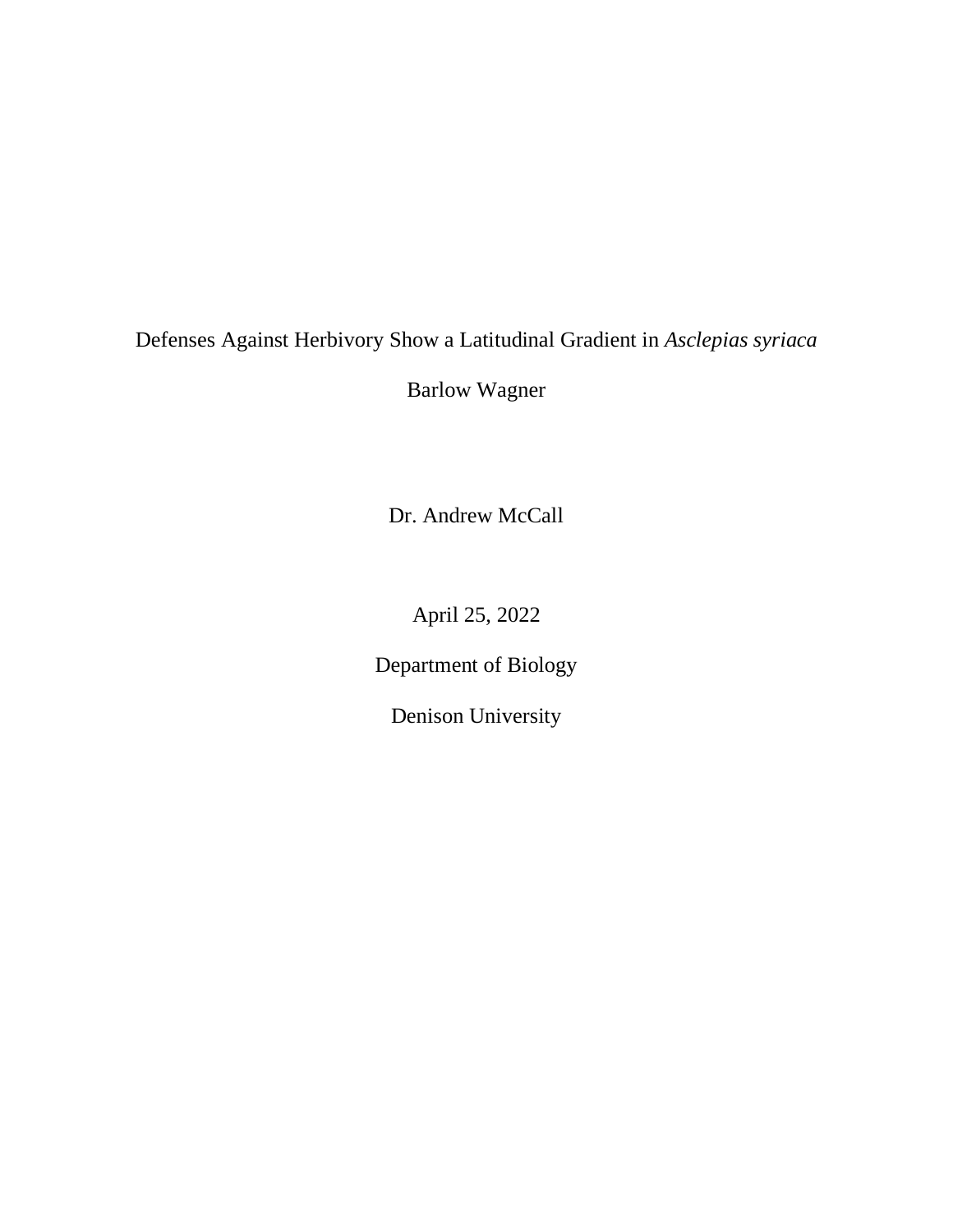# Defenses Against Herbivory Show a Latitudinal Gradient in *Asclepias syriaca*

Barlow Wagner

Dr. Andrew McCall

April 25, 2022

Department of Biology

Denison University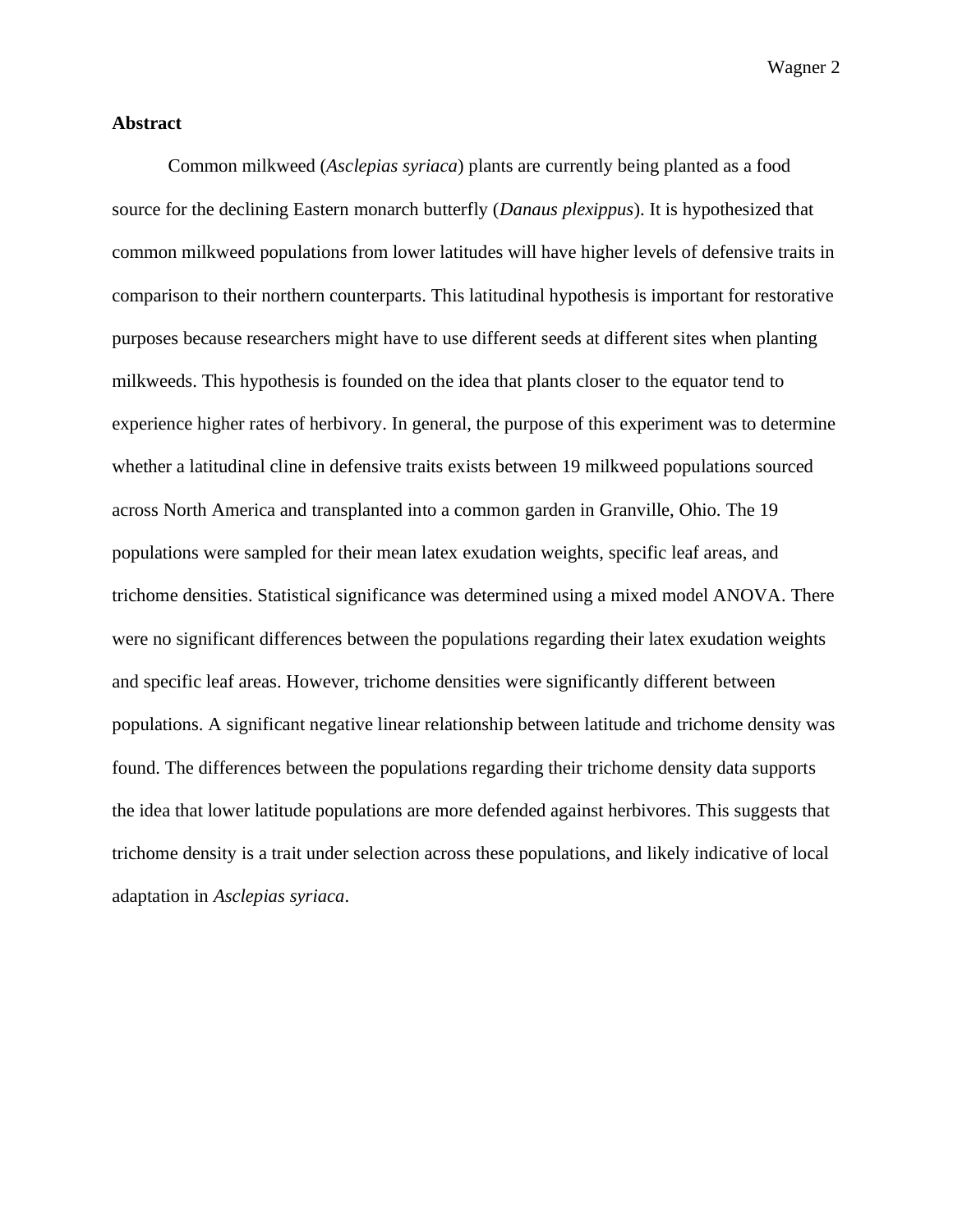#### **Abstract**

Common milkweed (*Asclepias syriaca*) plants are currently being planted as a food source for the declining Eastern monarch butterfly (*Danaus plexippus*). It is hypothesized that common milkweed populations from lower latitudes will have higher levels of defensive traits in comparison to their northern counterparts. This latitudinal hypothesis is important for restorative purposes because researchers might have to use different seeds at different sites when planting milkweeds. This hypothesis is founded on the idea that plants closer to the equator tend to experience higher rates of herbivory. In general, the purpose of this experiment was to determine whether a latitudinal cline in defensive traits exists between 19 milkweed populations sourced across North America and transplanted into a common garden in Granville, Ohio. The 19 populations were sampled for their mean latex exudation weights, specific leaf areas, and trichome densities. Statistical significance was determined using a mixed model ANOVA*.* There were no significant differences between the populations regarding their latex exudation weights and specific leaf areas. However, trichome densities were significantly different between populations. A significant negative linear relationship between latitude and trichome density was found. The differences between the populations regarding their trichome density data supports the idea that lower latitude populations are more defended against herbivores. This suggests that trichome density is a trait under selection across these populations, and likely indicative of local adaptation in *Asclepias syriaca*.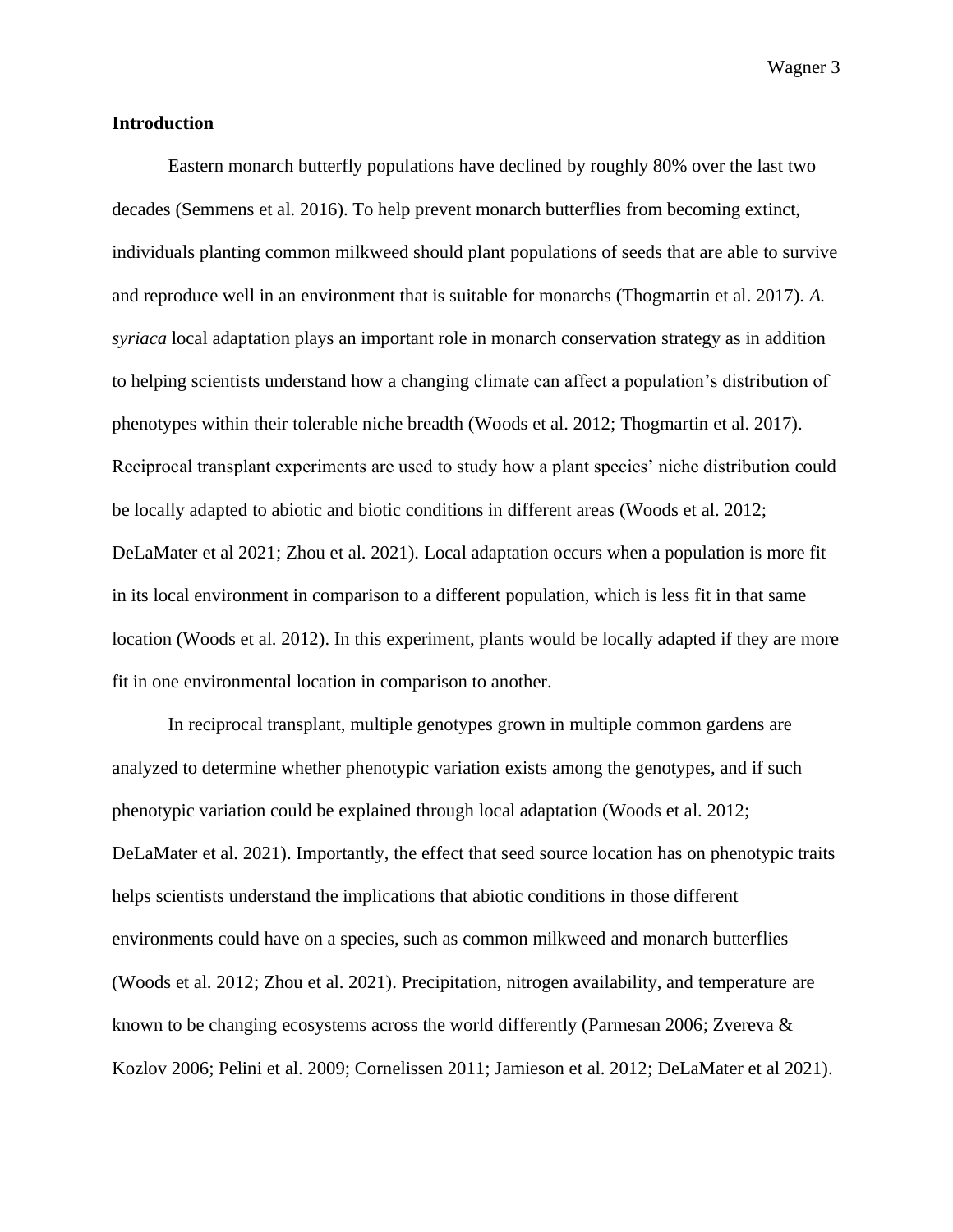#### **Introduction**

Eastern monarch butterfly populations have declined by roughly 80% over the last two decades (Semmens et al. 2016). To help prevent monarch butterflies from becoming extinct, individuals planting common milkweed should plant populations of seeds that are able to survive and reproduce well in an environment that is suitable for monarchs (Thogmartin et al. 2017). *A. syriaca* local adaptation plays an important role in monarch conservation strategy as in addition to helping scientists understand how a changing climate can affect a population's distribution of phenotypes within their tolerable niche breadth (Woods et al. 2012; Thogmartin et al. 2017). Reciprocal transplant experiments are used to study how a plant species' niche distribution could be locally adapted to abiotic and biotic conditions in different areas (Woods et al. 2012; DeLaMater et al 2021; Zhou et al. 2021). Local adaptation occurs when a population is more fit in its local environment in comparison to a different population, which is less fit in that same location (Woods et al. 2012). In this experiment, plants would be locally adapted if they are more fit in one environmental location in comparison to another.

In reciprocal transplant, multiple genotypes grown in multiple common gardens are analyzed to determine whether phenotypic variation exists among the genotypes, and if such phenotypic variation could be explained through local adaptation (Woods et al. 2012; DeLaMater et al. 2021). Importantly, the effect that seed source location has on phenotypic traits helps scientists understand the implications that abiotic conditions in those different environments could have on a species, such as common milkweed and monarch butterflies (Woods et al. 2012; Zhou et al. 2021). Precipitation, nitrogen availability, and temperature are known to be changing ecosystems across the world differently (Parmesan 2006; Zvereva & Kozlov 2006; Pelini et al. 2009; Cornelissen 2011; Jamieson et al. 2012; DeLaMater et al 2021).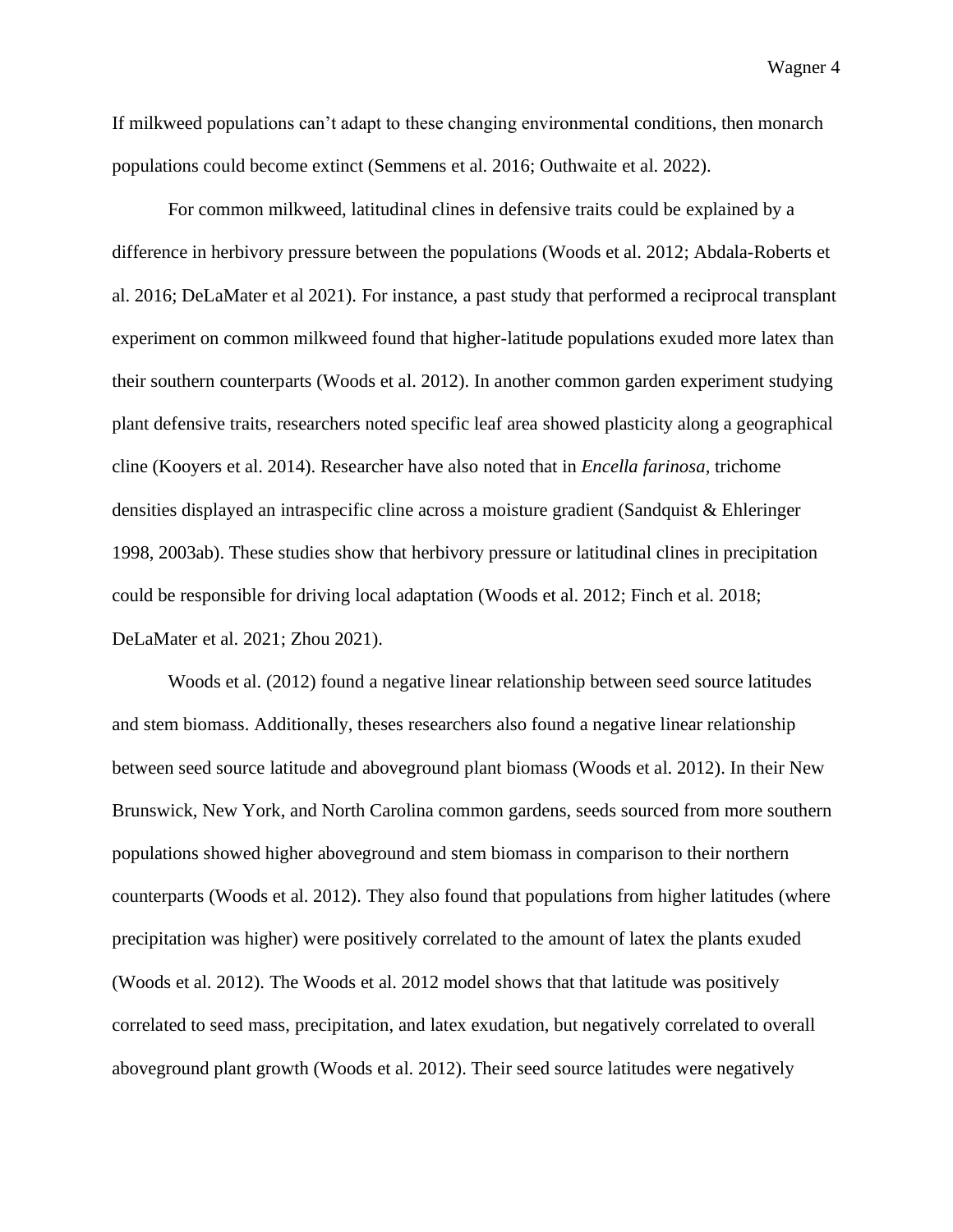If milkweed populations can't adapt to these changing environmental conditions, then monarch populations could become extinct (Semmens et al. 2016; Outhwaite et al. 2022).

For common milkweed, latitudinal clines in defensive traits could be explained by a difference in herbivory pressure between the populations (Woods et al. 2012; Abdala-Roberts et al. 2016; DeLaMater et al 2021). For instance, a past study that performed a reciprocal transplant experiment on common milkweed found that higher-latitude populations exuded more latex than their southern counterparts (Woods et al. 2012). In another common garden experiment studying plant defensive traits, researchers noted specific leaf area showed plasticity along a geographical cline (Kooyers et al. 2014). Researcher have also noted that in *Encella farinosa,* trichome densities displayed an intraspecific cline across a moisture gradient (Sandquist & Ehleringer 1998, 2003ab). These studies show that herbivory pressure or latitudinal clines in precipitation could be responsible for driving local adaptation (Woods et al. 2012; Finch et al. 2018; DeLaMater et al. 2021; Zhou 2021).

Woods et al. (2012) found a negative linear relationship between seed source latitudes and stem biomass. Additionally, theses researchers also found a negative linear relationship between seed source latitude and aboveground plant biomass (Woods et al. 2012). In their New Brunswick, New York, and North Carolina common gardens, seeds sourced from more southern populations showed higher aboveground and stem biomass in comparison to their northern counterparts (Woods et al. 2012). They also found that populations from higher latitudes (where precipitation was higher) were positively correlated to the amount of latex the plants exuded (Woods et al. 2012). The Woods et al. 2012 model shows that that latitude was positively correlated to seed mass, precipitation, and latex exudation, but negatively correlated to overall aboveground plant growth (Woods et al. 2012). Their seed source latitudes were negatively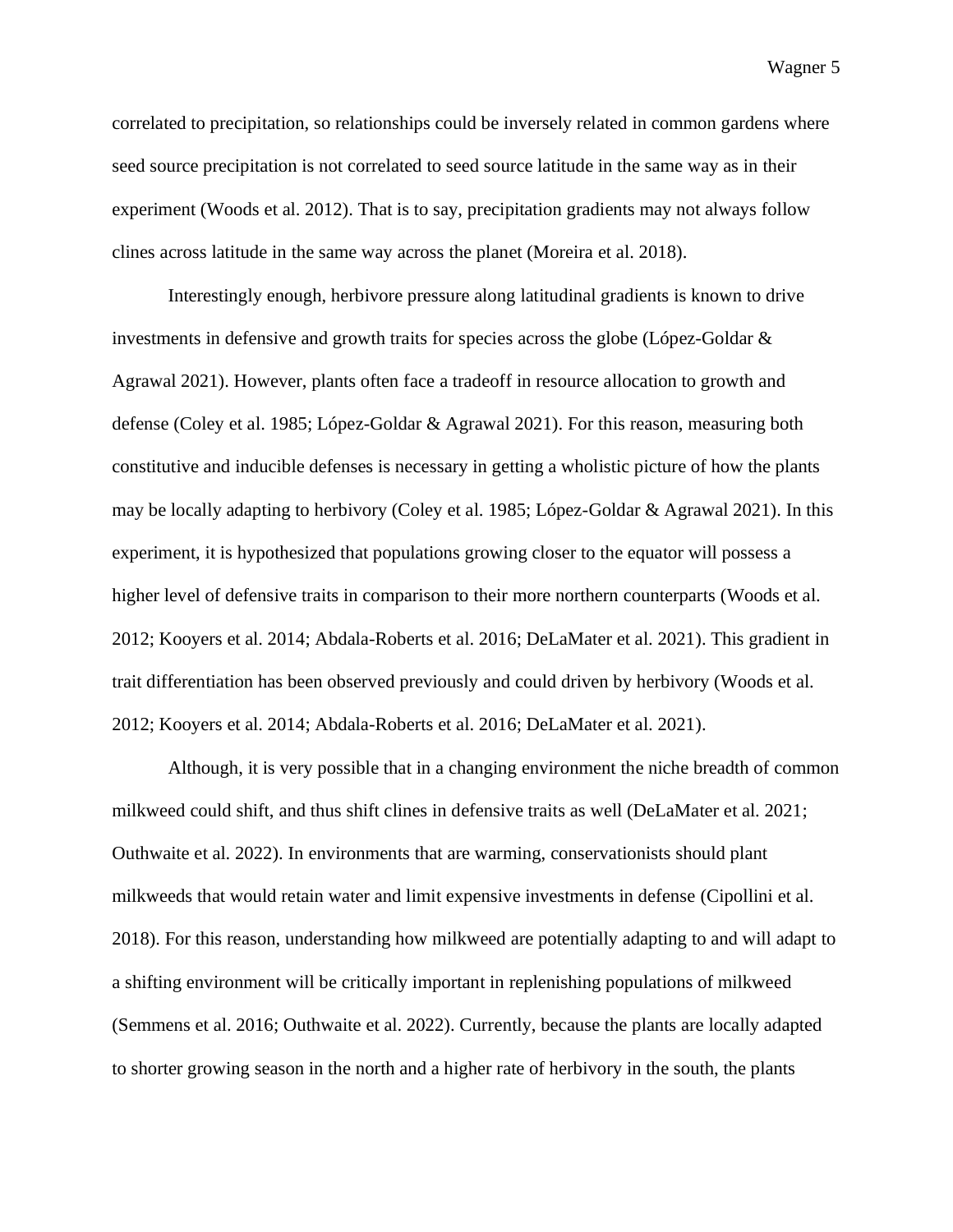correlated to precipitation, so relationships could be inversely related in common gardens where seed source precipitation is not correlated to seed source latitude in the same way as in their experiment (Woods et al. 2012). That is to say, precipitation gradients may not always follow clines across latitude in the same way across the planet (Moreira et al. 2018).

Interestingly enough, herbivore pressure along latitudinal gradients is known to drive investments in defensive and growth traits for species across the globe (López-Goldar  $\&$ Agrawal 2021). However, plants often face a tradeoff in resource allocation to growth and defense (Coley et al. 1985; López-Goldar & Agrawal 2021). For this reason, measuring both constitutive and inducible defenses is necessary in getting a wholistic picture of how the plants may be locally adapting to herbivory (Coley et al. 1985; López-Goldar & Agrawal 2021). In this experiment, it is hypothesized that populations growing closer to the equator will possess a higher level of defensive traits in comparison to their more northern counterparts (Woods et al. 2012; Kooyers et al. 2014; Abdala-Roberts et al. 2016; DeLaMater et al. 2021). This gradient in trait differentiation has been observed previously and could driven by herbivory (Woods et al. 2012; Kooyers et al. 2014; Abdala-Roberts et al. 2016; DeLaMater et al. 2021).

Although, it is very possible that in a changing environment the niche breadth of common milkweed could shift, and thus shift clines in defensive traits as well (DeLaMater et al. 2021; Outhwaite et al. 2022). In environments that are warming, conservationists should plant milkweeds that would retain water and limit expensive investments in defense (Cipollini et al. 2018). For this reason, understanding how milkweed are potentially adapting to and will adapt to a shifting environment will be critically important in replenishing populations of milkweed (Semmens et al. 2016; Outhwaite et al. 2022). Currently, because the plants are locally adapted to shorter growing season in the north and a higher rate of herbivory in the south, the plants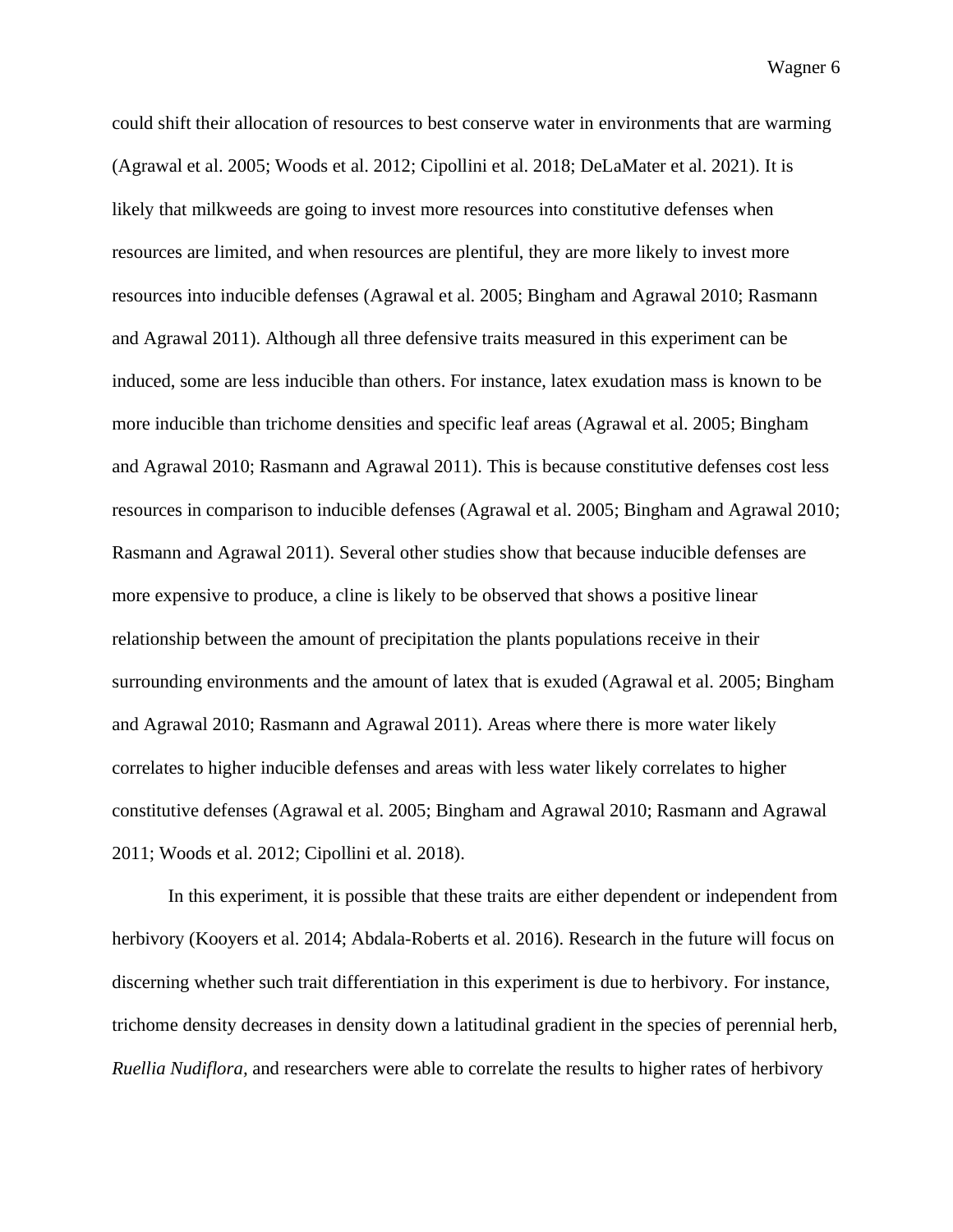could shift their allocation of resources to best conserve water in environments that are warming (Agrawal et al. 2005; Woods et al. 2012; Cipollini et al. 2018; DeLaMater et al. 2021). It is likely that milkweeds are going to invest more resources into constitutive defenses when resources are limited, and when resources are plentiful, they are more likely to invest more resources into inducible defenses (Agrawal et al. 2005; Bingham and Agrawal 2010; Rasmann and Agrawal 2011). Although all three defensive traits measured in this experiment can be induced, some are less inducible than others. For instance, latex exudation mass is known to be more inducible than trichome densities and specific leaf areas (Agrawal et al. 2005; Bingham and Agrawal 2010; Rasmann and Agrawal 2011). This is because constitutive defenses cost less resources in comparison to inducible defenses (Agrawal et al. 2005; Bingham and Agrawal 2010; Rasmann and Agrawal 2011). Several other studies show that because inducible defenses are more expensive to produce, a cline is likely to be observed that shows a positive linear relationship between the amount of precipitation the plants populations receive in their surrounding environments and the amount of latex that is exuded (Agrawal et al. 2005; Bingham and Agrawal 2010; Rasmann and Agrawal 2011). Areas where there is more water likely correlates to higher inducible defenses and areas with less water likely correlates to higher constitutive defenses (Agrawal et al. 2005; Bingham and Agrawal 2010; Rasmann and Agrawal 2011; Woods et al. 2012; Cipollini et al. 2018).

In this experiment, it is possible that these traits are either dependent or independent from herbivory (Kooyers et al. 2014; Abdala-Roberts et al. 2016). Research in the future will focus on discerning whether such trait differentiation in this experiment is due to herbivory. For instance, trichome density decreases in density down a latitudinal gradient in the species of perennial herb, *Ruellia Nudiflora,* and researchers were able to correlate the results to higher rates of herbivory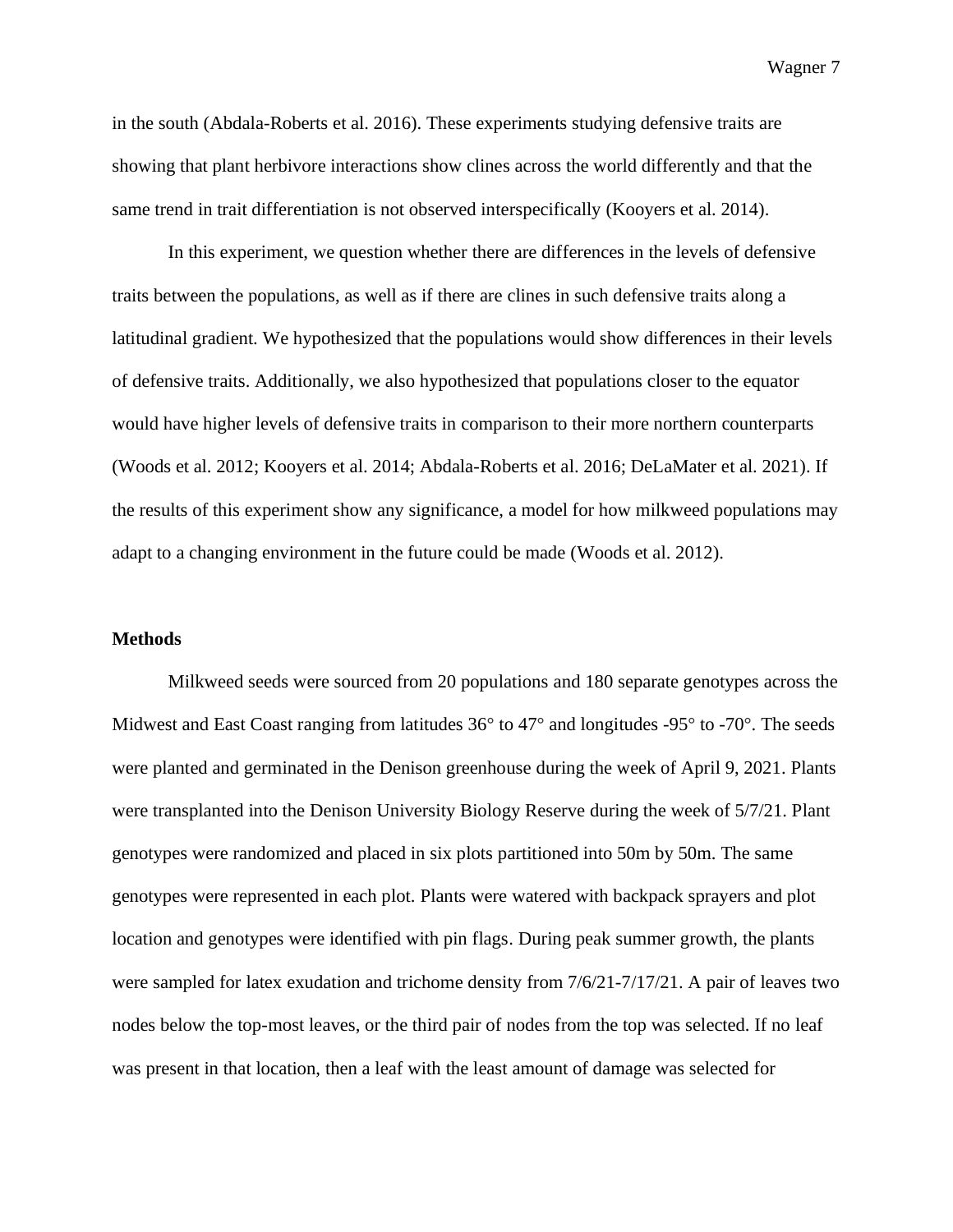in the south (Abdala-Roberts et al. 2016). These experiments studying defensive traits are showing that plant herbivore interactions show clines across the world differently and that the same trend in trait differentiation is not observed interspecifically (Kooyers et al. 2014).

In this experiment, we question whether there are differences in the levels of defensive traits between the populations, as well as if there are clines in such defensive traits along a latitudinal gradient. We hypothesized that the populations would show differences in their levels of defensive traits. Additionally, we also hypothesized that populations closer to the equator would have higher levels of defensive traits in comparison to their more northern counterparts (Woods et al. 2012; Kooyers et al. 2014; Abdala-Roberts et al. 2016; DeLaMater et al. 2021). If the results of this experiment show any significance, a model for how milkweed populations may adapt to a changing environment in the future could be made (Woods et al. 2012).

#### **Methods**

Milkweed seeds were sourced from 20 populations and 180 separate genotypes across the Midwest and East Coast ranging from latitudes 36**°** to 47**°** and longitudes -95**°** to -70**°**. The seeds were planted and germinated in the Denison greenhouse during the week of April 9, 2021. Plants were transplanted into the Denison University Biology Reserve during the week of 5/7/21. Plant genotypes were randomized and placed in six plots partitioned into 50m by 50m. The same genotypes were represented in each plot. Plants were watered with backpack sprayers and plot location and genotypes were identified with pin flags. During peak summer growth, the plants were sampled for latex exudation and trichome density from 7/6/21-7/17/21. A pair of leaves two nodes below the top-most leaves, or the third pair of nodes from the top was selected. If no leaf was present in that location, then a leaf with the least amount of damage was selected for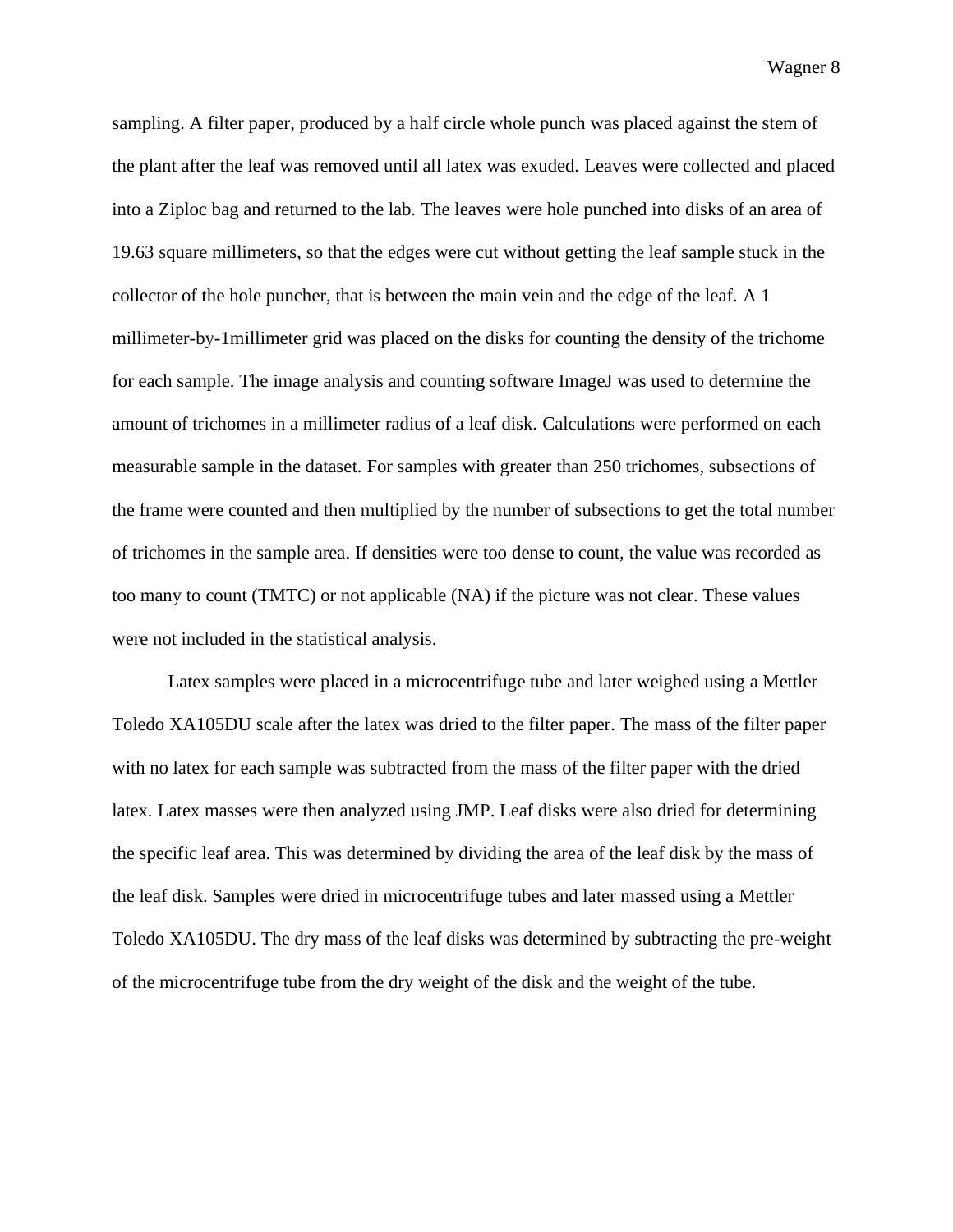sampling. A filter paper, produced by a half circle whole punch was placed against the stem of the plant after the leaf was removed until all latex was exuded. Leaves were collected and placed into a Ziploc bag and returned to the lab. The leaves were hole punched into disks of an area of 19.63 square millimeters, so that the edges were cut without getting the leaf sample stuck in the collector of the hole puncher, that is between the main vein and the edge of the leaf. A 1 millimeter-by-1millimeter grid was placed on the disks for counting the density of the trichome for each sample. The image analysis and counting software ImageJ was used to determine the amount of trichomes in a millimeter radius of a leaf disk. Calculations were performed on each measurable sample in the dataset. For samples with greater than 250 trichomes, subsections of the frame were counted and then multiplied by the number of subsections to get the total number of trichomes in the sample area. If densities were too dense to count, the value was recorded as too many to count (TMTC) or not applicable (NA) if the picture was not clear. These values were not included in the statistical analysis.

Latex samples were placed in a microcentrifuge tube and later weighed using a Mettler Toledo XA105DU scale after the latex was dried to the filter paper. The mass of the filter paper with no latex for each sample was subtracted from the mass of the filter paper with the dried latex. Latex masses were then analyzed using JMP. Leaf disks were also dried for determining the specific leaf area. This was determined by dividing the area of the leaf disk by the mass of the leaf disk. Samples were dried in microcentrifuge tubes and later massed using a Mettler Toledo XA105DU. The dry mass of the leaf disks was determined by subtracting the pre-weight of the microcentrifuge tube from the dry weight of the disk and the weight of the tube.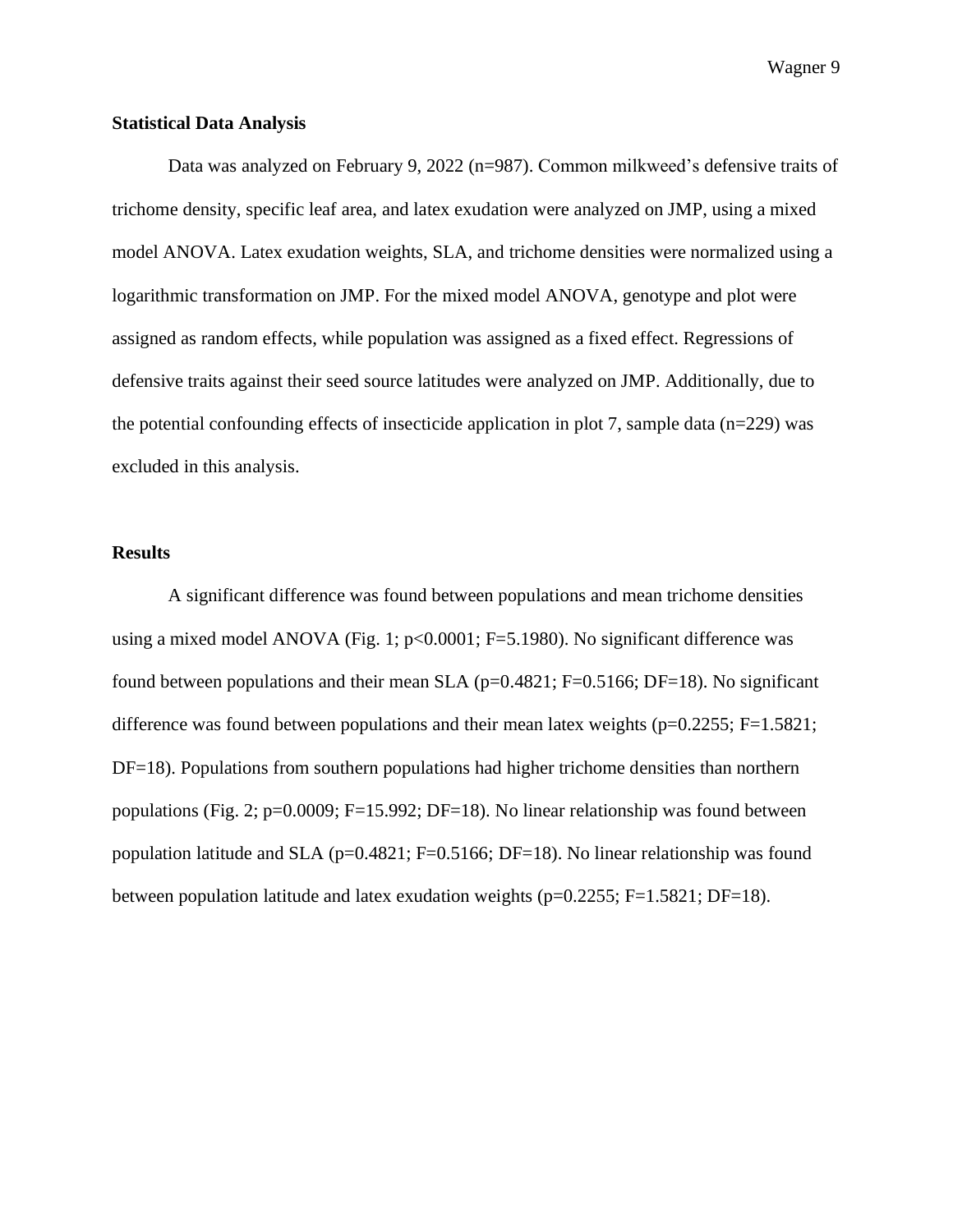#### **Statistical Data Analysis**

Data was analyzed on February 9, 2022 (n=987). Common milkweed's defensive traits of trichome density, specific leaf area, and latex exudation were analyzed on JMP, using a mixed model ANOVA. Latex exudation weights, SLA, and trichome densities were normalized using a logarithmic transformation on JMP. For the mixed model ANOVA, genotype and plot were assigned as random effects, while population was assigned as a fixed effect. Regressions of defensive traits against their seed source latitudes were analyzed on JMP. Additionally, due to the potential confounding effects of insecticide application in plot 7, sample data ( $n=229$ ) was excluded in this analysis.

#### **Results**

A significant difference was found between populations and mean trichome densities using a mixed model ANOVA (Fig. 1;  $p<0.0001$ ; F=5.1980). No significant difference was found between populations and their mean SLA ( $p=0.4821$ ; F=0.5166; DF=18). No significant difference was found between populations and their mean latex weights ( $p=0.2255$ ; F=1.5821; DF=18). Populations from southern populations had higher trichome densities than northern populations (Fig. 2; p=0.0009; F=15.992; DF=18). No linear relationship was found between population latitude and SLA ( $p=0.4821$ ; F=0.5166; DF=18). No linear relationship was found between population latitude and latex exudation weights (p=0.2255; F=1.5821; DF=18).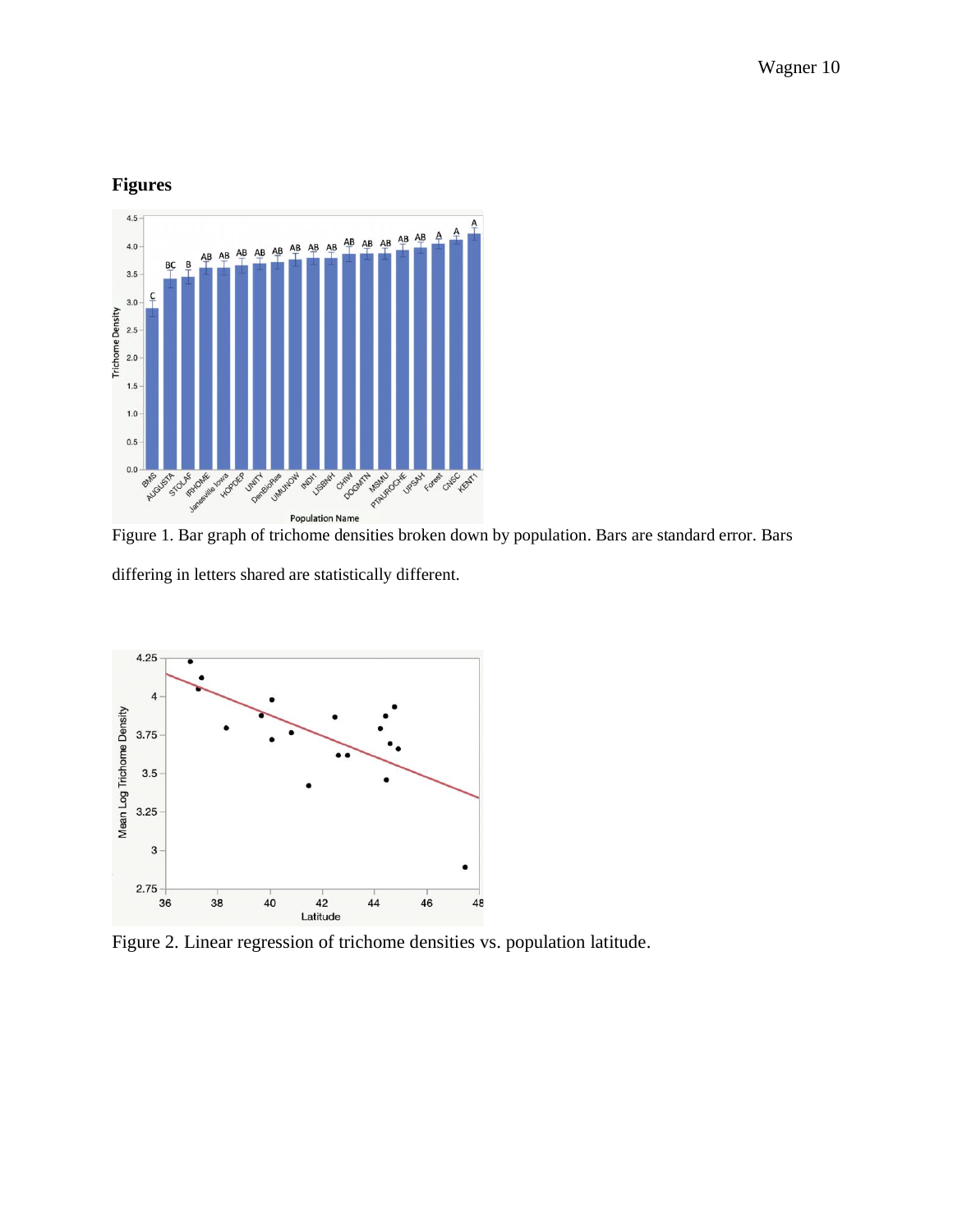# **Figures**



Figure 1. Bar graph of trichome densities broken down by population. Bars are standard error. Bars differing in letters shared are statistically different.



Figure 2. Linear regression of trichome densities vs. population latitude.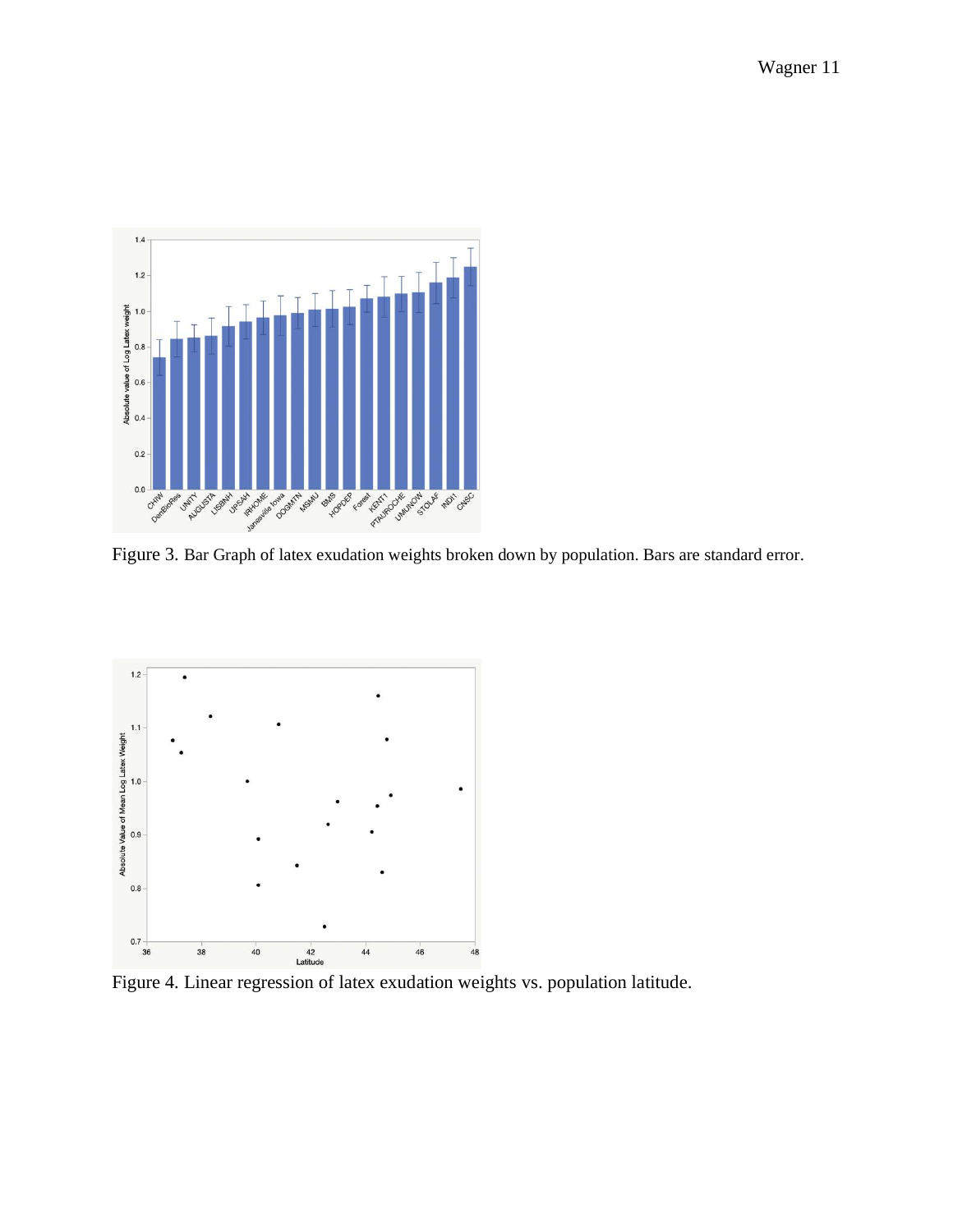

Figure 3. Bar Graph of latex exudation weights broken down by population. Bars are standard error.



Figure 4. Linear regression of latex exudation weights vs. population latitude.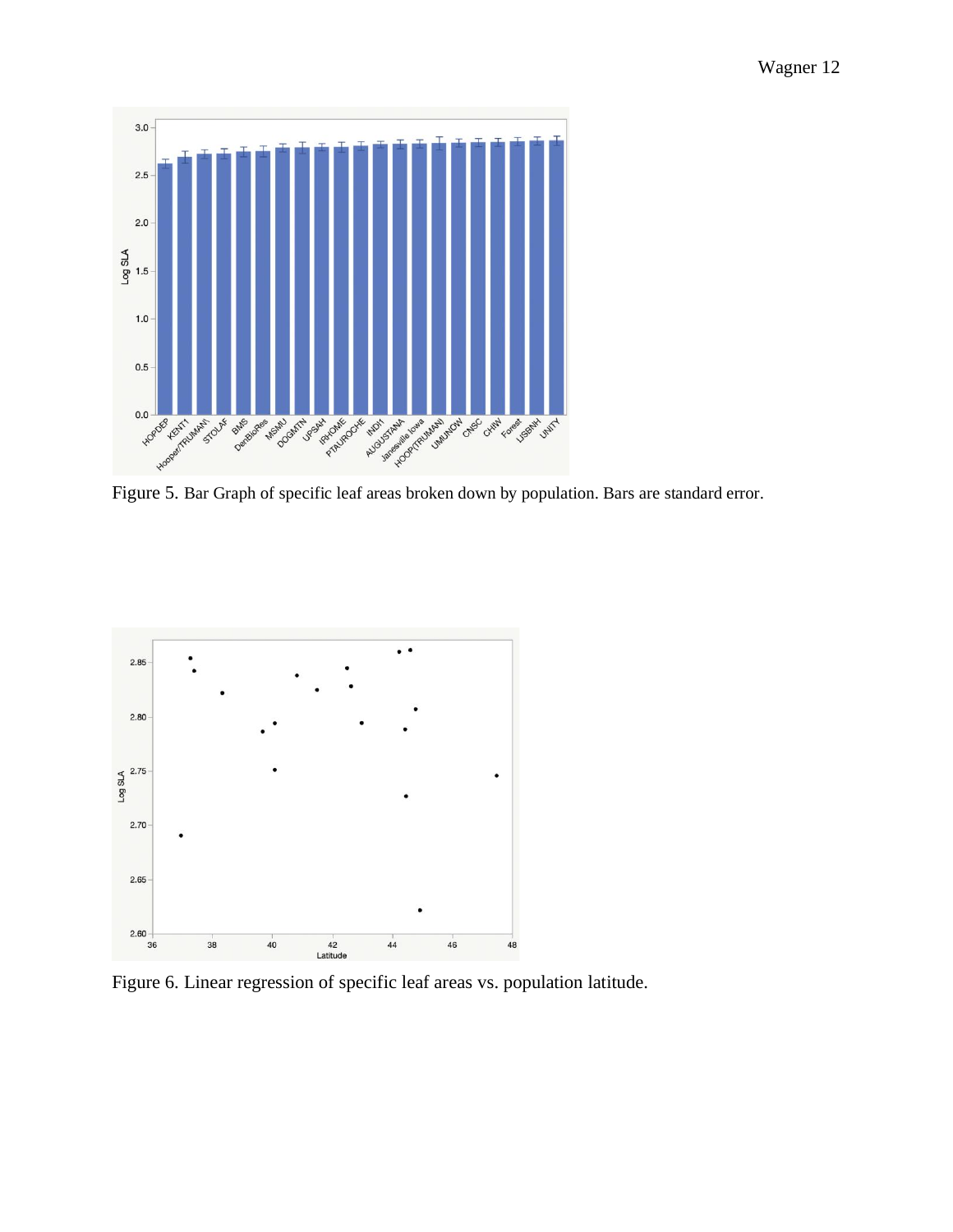

Figure 5. Bar Graph of specific leaf areas broken down by population. Bars are standard error.



Figure 6. Linear regression of specific leaf areas vs. population latitude.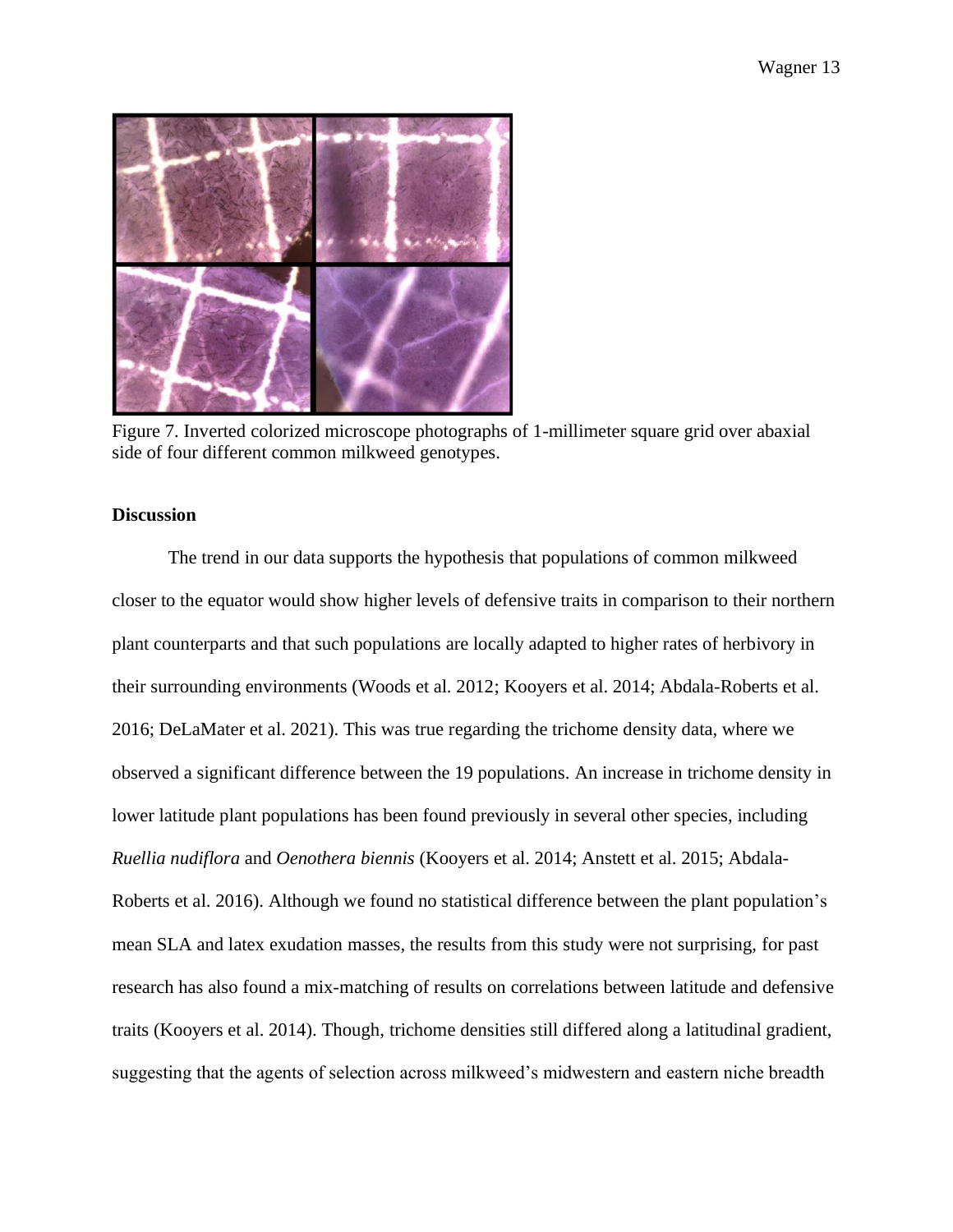

Figure 7. Inverted colorized microscope photographs of 1-millimeter square grid over abaxial side of four different common milkweed genotypes.

### **Discussion**

The trend in our data supports the hypothesis that populations of common milkweed closer to the equator would show higher levels of defensive traits in comparison to their northern plant counterparts and that such populations are locally adapted to higher rates of herbivory in their surrounding environments (Woods et al. 2012; Kooyers et al. 2014; Abdala-Roberts et al. 2016; DeLaMater et al. 2021). This was true regarding the trichome density data, where we observed a significant difference between the 19 populations. An increase in trichome density in lower latitude plant populations has been found previously in several other species, including *Ruellia nudiflora* and *Oenothera biennis* (Kooyers et al. 2014; Anstett et al. 2015; Abdala-Roberts et al. 2016). Although we found no statistical difference between the plant population's mean SLA and latex exudation masses, the results from this study were not surprising, for past research has also found a mix-matching of results on correlations between latitude and defensive traits (Kooyers et al. 2014). Though, trichome densities still differed along a latitudinal gradient, suggesting that the agents of selection across milkweed's midwestern and eastern niche breadth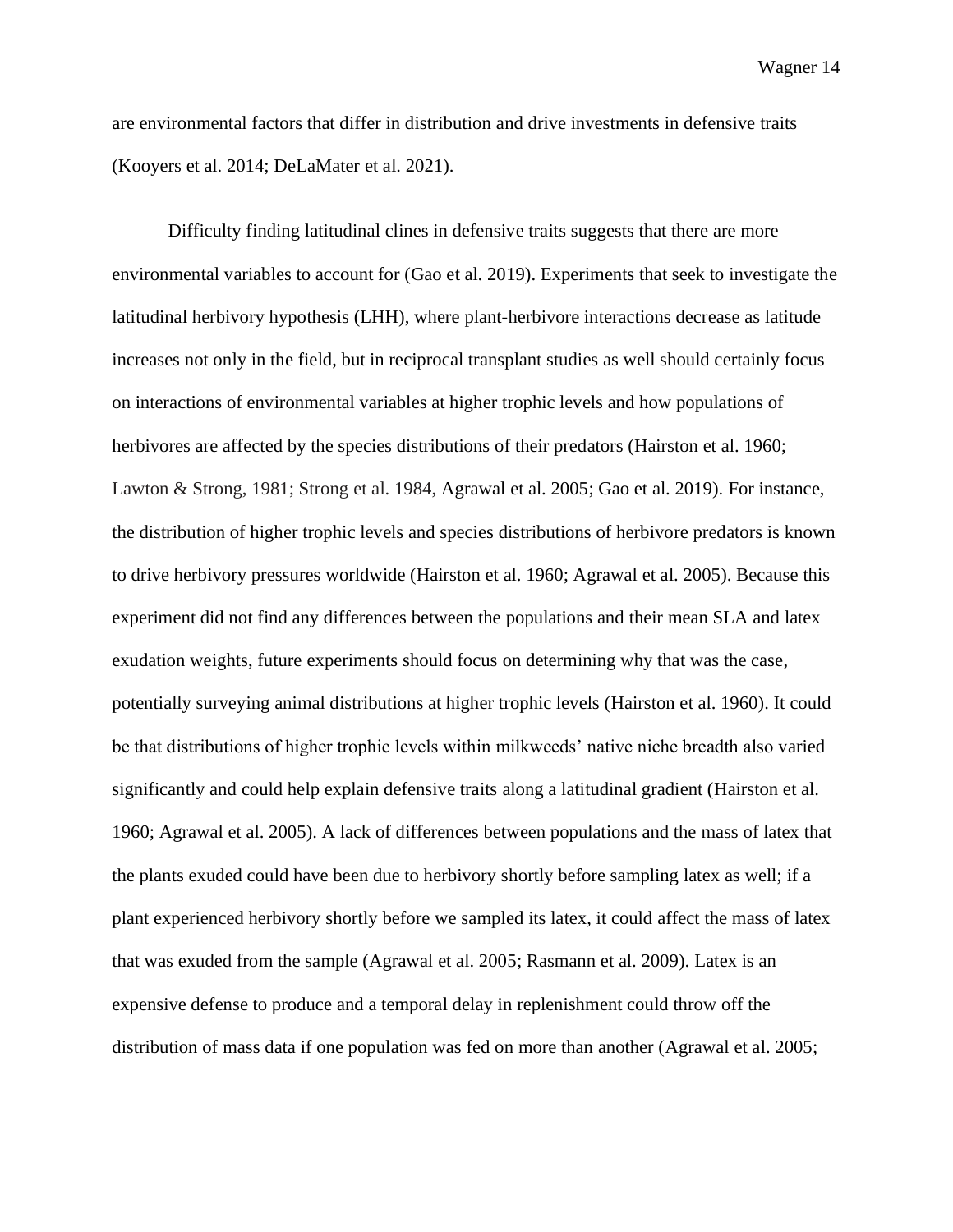are environmental factors that differ in distribution and drive investments in defensive traits (Kooyers et al. 2014; DeLaMater et al. 2021).

Difficulty finding latitudinal clines in defensive traits suggests that there are more environmental variables to account for (Gao et al. 2019). Experiments that seek to investigate the latitudinal herbivory hypothesis (LHH), where plant-herbivore interactions decrease as latitude increases not only in the field, but in reciprocal transplant studies as well should certainly focus on interactions of environmental variables at higher trophic levels and how populations of herbivores are affected by the species distributions of their predators (Hairston et al. 1960; Lawton & Strong, 1981; Strong et al. 1984, Agrawal et al. 2005; Gao et al. 2019). For instance, the distribution of higher trophic levels and species distributions of herbivore predators is known to drive herbivory pressures worldwide (Hairston et al. 1960; Agrawal et al. 2005). Because this experiment did not find any differences between the populations and their mean SLA and latex exudation weights, future experiments should focus on determining why that was the case, potentially surveying animal distributions at higher trophic levels (Hairston et al. 1960). It could be that distributions of higher trophic levels within milkweeds' native niche breadth also varied significantly and could help explain defensive traits along a latitudinal gradient (Hairston et al. 1960; Agrawal et al. 2005). A lack of differences between populations and the mass of latex that the plants exuded could have been due to herbivory shortly before sampling latex as well; if a plant experienced herbivory shortly before we sampled its latex, it could affect the mass of latex that was exuded from the sample (Agrawal et al. 2005; Rasmann et al. 2009). Latex is an expensive defense to produce and a temporal delay in replenishment could throw off the distribution of mass data if one population was fed on more than another (Agrawal et al. 2005;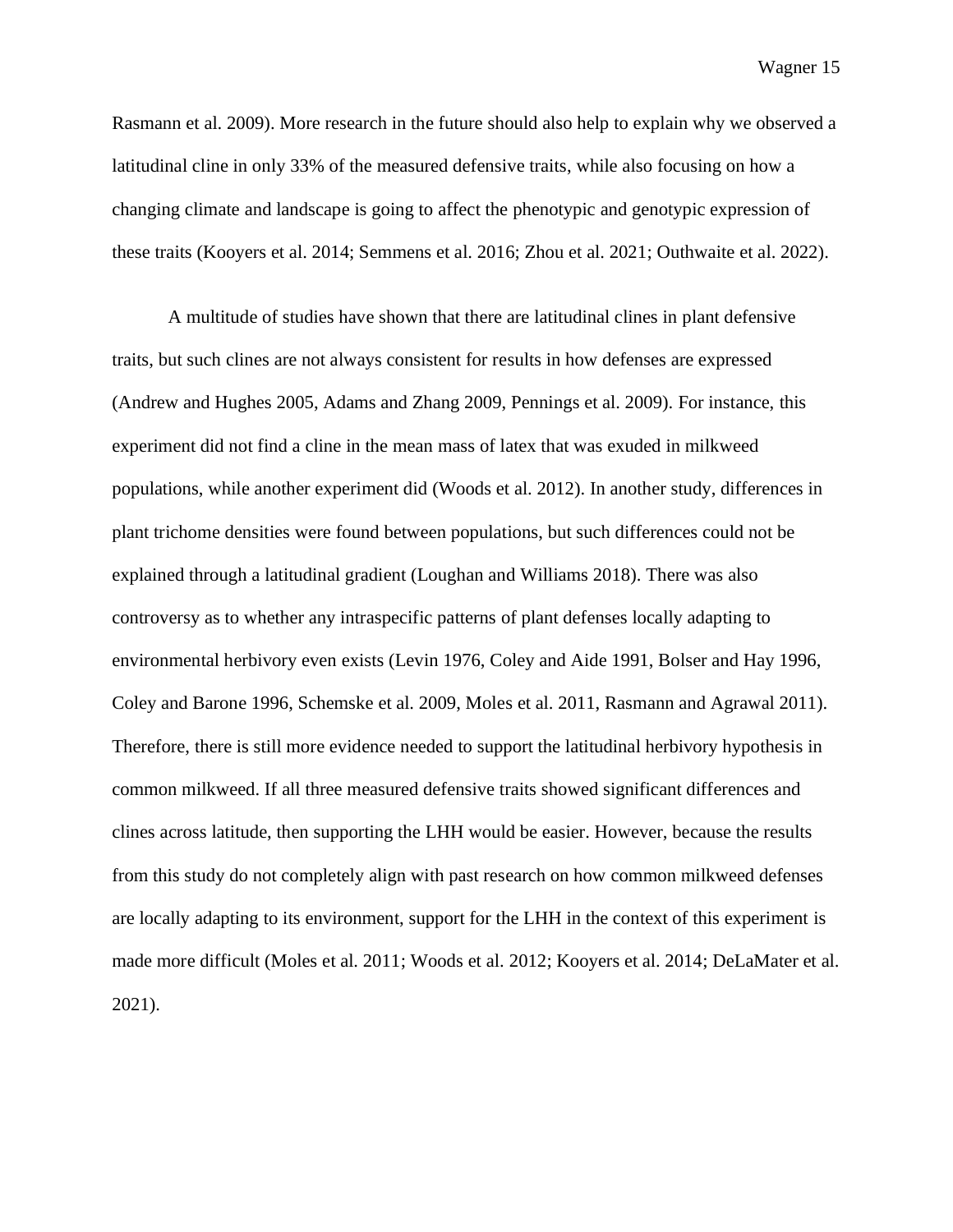Rasmann et al. 2009). More research in the future should also help to explain why we observed a latitudinal cline in only 33% of the measured defensive traits, while also focusing on how a changing climate and landscape is going to affect the phenotypic and genotypic expression of these traits (Kooyers et al. 2014; Semmens et al. 2016; Zhou et al. 2021; Outhwaite et al. 2022).

A multitude of studies have shown that there are latitudinal clines in plant defensive traits, but such clines are not always consistent for results in how defenses are expressed (Andrew and Hughes 2005, Adams and Zhang 2009, Pennings et al. 2009). For instance, this experiment did not find a cline in the mean mass of latex that was exuded in milkweed populations, while another experiment did (Woods et al. 2012). In another study, differences in plant trichome densities were found between populations, but such differences could not be explained through a latitudinal gradient (Loughan and Williams 2018). There was also controversy as to whether any intraspecific patterns of plant defenses locally adapting to environmental herbivory even exists (Levin 1976, Coley and Aide 1991, Bolser and Hay 1996, Coley and Barone 1996, Schemske et al. 2009, Moles et al. 2011, Rasmann and Agrawal 2011). Therefore, there is still more evidence needed to support the latitudinal herbivory hypothesis in common milkweed. If all three measured defensive traits showed significant differences and clines across latitude, then supporting the LHH would be easier. However, because the results from this study do not completely align with past research on how common milkweed defenses are locally adapting to its environment, support for the LHH in the context of this experiment is made more difficult (Moles et al. 2011; Woods et al. 2012; Kooyers et al. 2014; DeLaMater et al. 2021).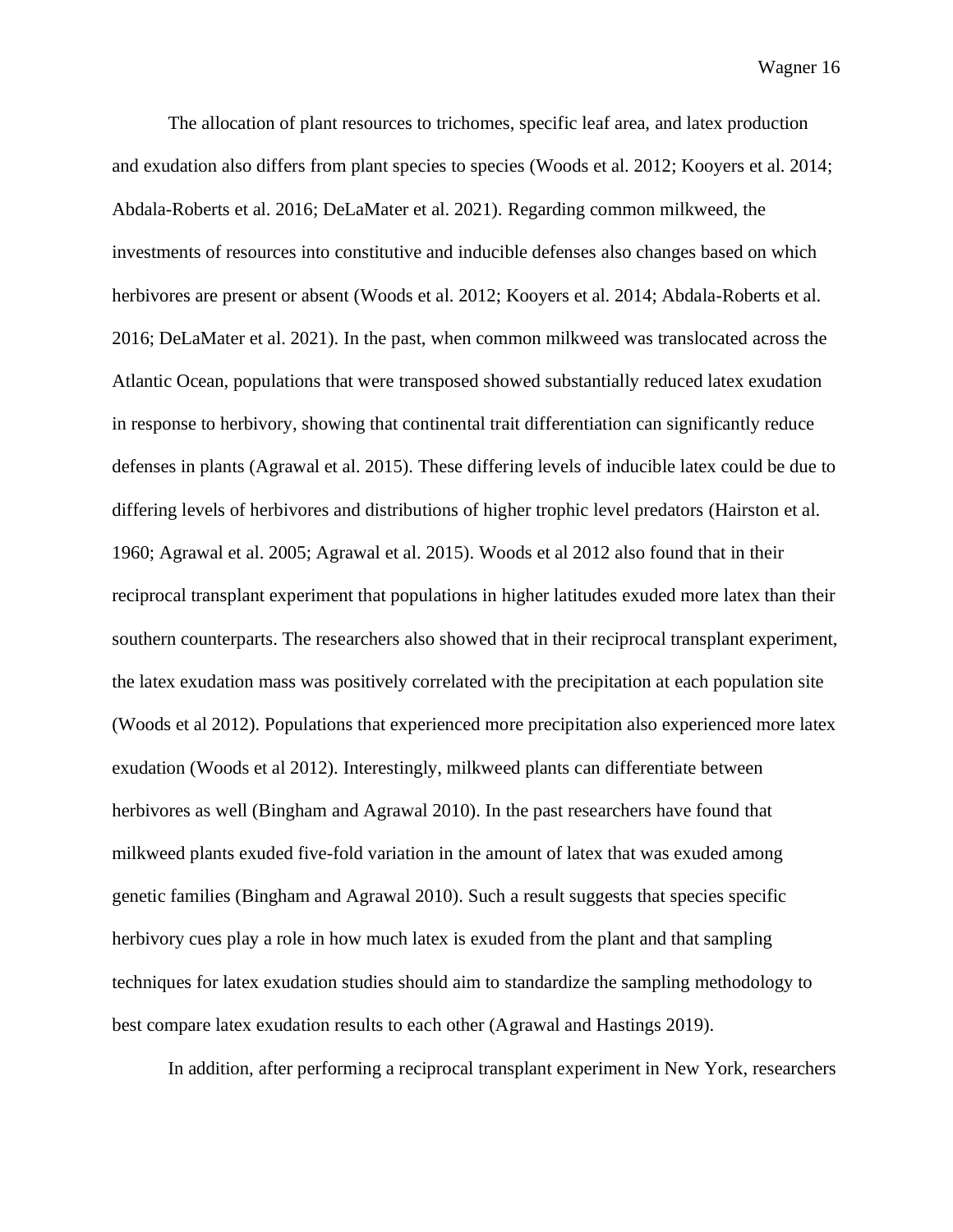The allocation of plant resources to trichomes, specific leaf area, and latex production and exudation also differs from plant species to species (Woods et al. 2012; Kooyers et al. 2014; Abdala-Roberts et al. 2016; DeLaMater et al. 2021). Regarding common milkweed, the investments of resources into constitutive and inducible defenses also changes based on which herbivores are present or absent (Woods et al. 2012; Kooyers et al. 2014; Abdala-Roberts et al. 2016; DeLaMater et al. 2021). In the past, when common milkweed was translocated across the Atlantic Ocean, populations that were transposed showed substantially reduced latex exudation in response to herbivory, showing that continental trait differentiation can significantly reduce defenses in plants (Agrawal et al. 2015). These differing levels of inducible latex could be due to differing levels of herbivores and distributions of higher trophic level predators (Hairston et al. 1960; Agrawal et al. 2005; Agrawal et al. 2015). Woods et al 2012 also found that in their reciprocal transplant experiment that populations in higher latitudes exuded more latex than their southern counterparts. The researchers also showed that in their reciprocal transplant experiment, the latex exudation mass was positively correlated with the precipitation at each population site (Woods et al 2012). Populations that experienced more precipitation also experienced more latex exudation (Woods et al 2012). Interestingly, milkweed plants can differentiate between herbivores as well (Bingham and Agrawal 2010). In the past researchers have found that milkweed plants exuded five-fold variation in the amount of latex that was exuded among genetic families (Bingham and Agrawal 2010). Such a result suggests that species specific herbivory cues play a role in how much latex is exuded from the plant and that sampling techniques for latex exudation studies should aim to standardize the sampling methodology to best compare latex exudation results to each other (Agrawal and Hastings 2019).

In addition, after performing a reciprocal transplant experiment in New York, researchers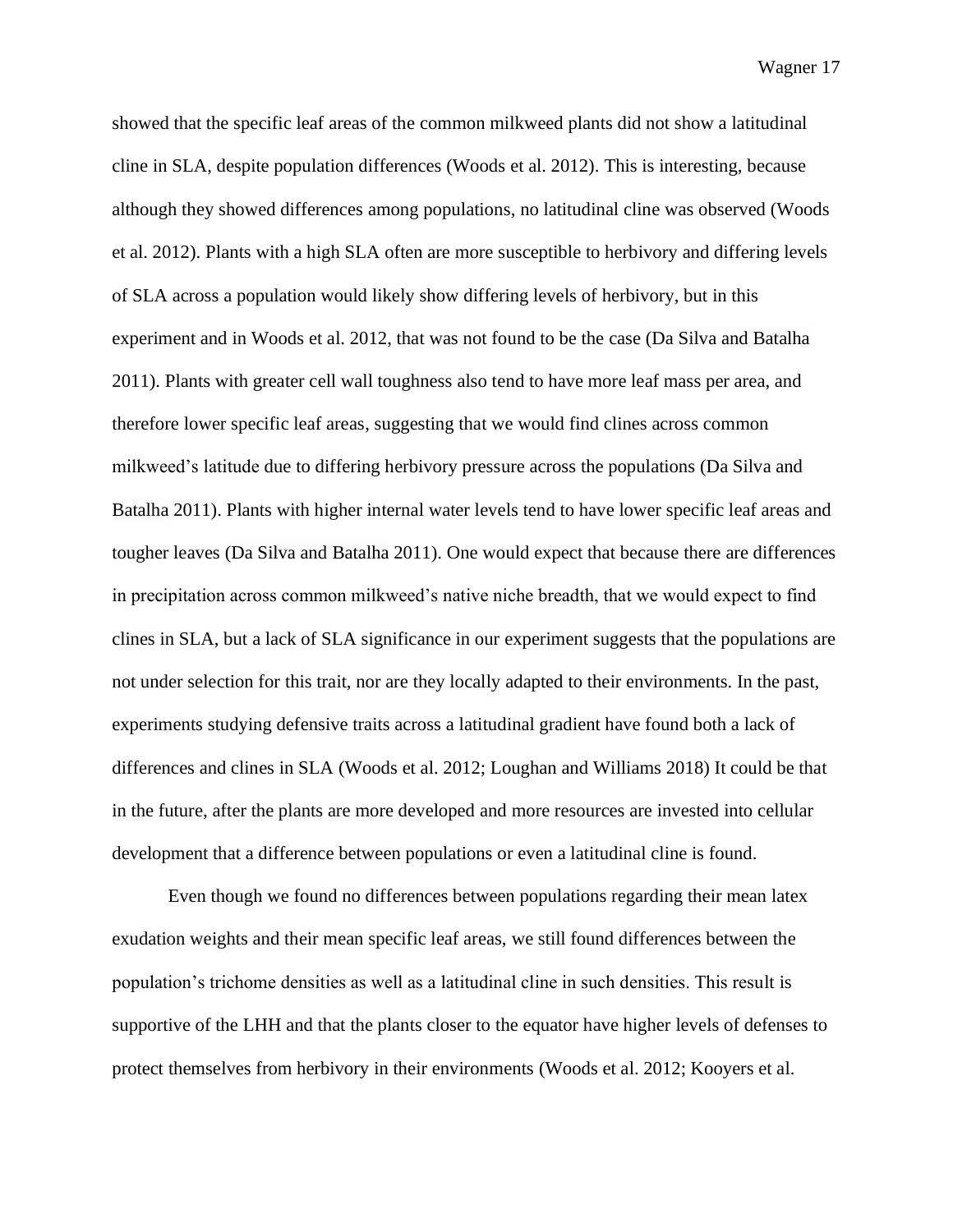showed that the specific leaf areas of the common milkweed plants did not show a latitudinal cline in SLA, despite population differences (Woods et al. 2012). This is interesting, because although they showed differences among populations, no latitudinal cline was observed (Woods et al. 2012). Plants with a high SLA often are more susceptible to herbivory and differing levels of SLA across a population would likely show differing levels of herbivory, but in this experiment and in Woods et al. 2012, that was not found to be the case (Da Silva and Batalha 2011). Plants with greater cell wall toughness also tend to have more leaf mass per area, and therefore lower specific leaf areas, suggesting that we would find clines across common milkweed's latitude due to differing herbivory pressure across the populations (Da Silva and Batalha 2011). Plants with higher internal water levels tend to have lower specific leaf areas and tougher leaves (Da Silva and Batalha 2011). One would expect that because there are differences in precipitation across common milkweed's native niche breadth, that we would expect to find clines in SLA, but a lack of SLA significance in our experiment suggests that the populations are not under selection for this trait, nor are they locally adapted to their environments. In the past, experiments studying defensive traits across a latitudinal gradient have found both a lack of differences and clines in SLA (Woods et al. 2012; Loughan and Williams 2018) It could be that in the future, after the plants are more developed and more resources are invested into cellular development that a difference between populations or even a latitudinal cline is found.

Even though we found no differences between populations regarding their mean latex exudation weights and their mean specific leaf areas, we still found differences between the population's trichome densities as well as a latitudinal cline in such densities. This result is supportive of the LHH and that the plants closer to the equator have higher levels of defenses to protect themselves from herbivory in their environments (Woods et al. 2012; Kooyers et al.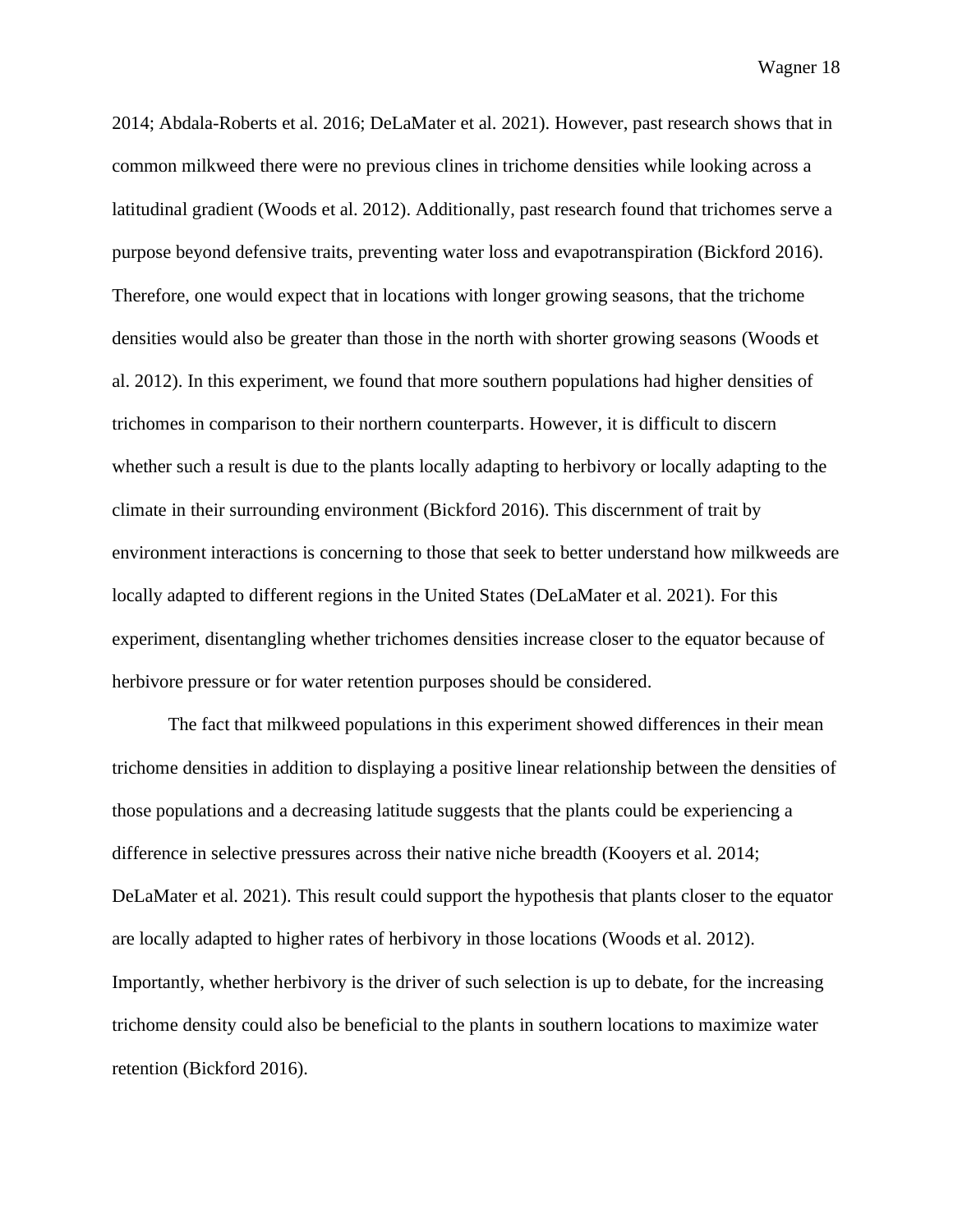2014; Abdala-Roberts et al. 2016; DeLaMater et al. 2021). However, past research shows that in common milkweed there were no previous clines in trichome densities while looking across a latitudinal gradient (Woods et al. 2012). Additionally, past research found that trichomes serve a purpose beyond defensive traits, preventing water loss and evapotranspiration (Bickford 2016). Therefore, one would expect that in locations with longer growing seasons, that the trichome densities would also be greater than those in the north with shorter growing seasons (Woods et al. 2012). In this experiment, we found that more southern populations had higher densities of trichomes in comparison to their northern counterparts. However, it is difficult to discern whether such a result is due to the plants locally adapting to herbivory or locally adapting to the climate in their surrounding environment (Bickford 2016). This discernment of trait by environment interactions is concerning to those that seek to better understand how milkweeds are locally adapted to different regions in the United States (DeLaMater et al. 2021). For this experiment, disentangling whether trichomes densities increase closer to the equator because of herbivore pressure or for water retention purposes should be considered.

The fact that milkweed populations in this experiment showed differences in their mean trichome densities in addition to displaying a positive linear relationship between the densities of those populations and a decreasing latitude suggests that the plants could be experiencing a difference in selective pressures across their native niche breadth (Kooyers et al. 2014; DeLaMater et al. 2021). This result could support the hypothesis that plants closer to the equator are locally adapted to higher rates of herbivory in those locations (Woods et al. 2012). Importantly, whether herbivory is the driver of such selection is up to debate, for the increasing trichome density could also be beneficial to the plants in southern locations to maximize water retention (Bickford 2016).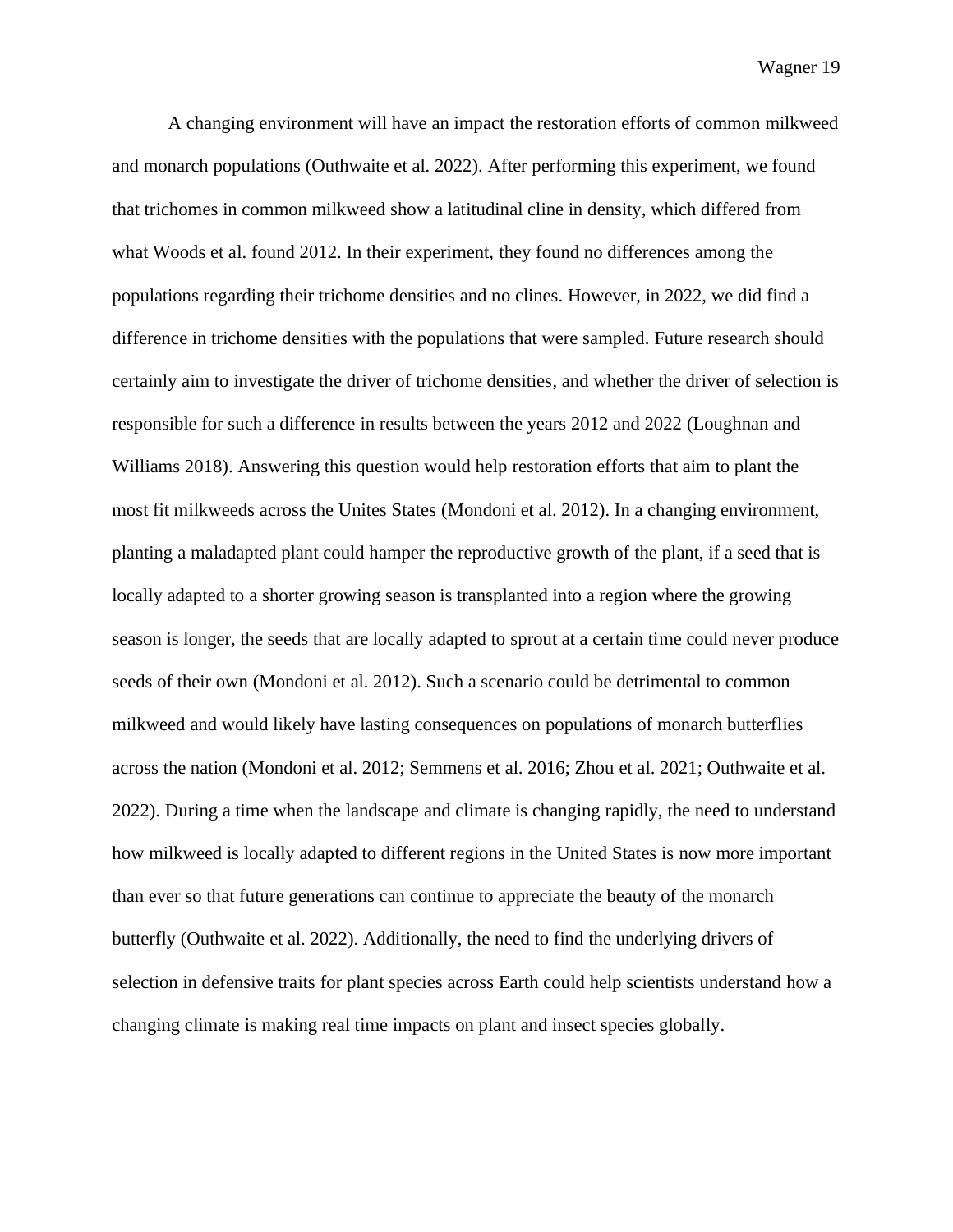A changing environment will have an impact the restoration efforts of common milkweed and monarch populations (Outhwaite et al. 2022). After performing this experiment, we found that trichomes in common milkweed show a latitudinal cline in density, which differed from what Woods et al. found 2012. In their experiment, they found no differences among the populations regarding their trichome densities and no clines. However, in 2022, we did find a difference in trichome densities with the populations that were sampled. Future research should certainly aim to investigate the driver of trichome densities, and whether the driver of selection is responsible for such a difference in results between the years 2012 and 2022 (Loughnan and Williams 2018). Answering this question would help restoration efforts that aim to plant the most fit milkweeds across the Unites States (Mondoni et al. 2012). In a changing environment, planting a maladapted plant could hamper the reproductive growth of the plant, if a seed that is locally adapted to a shorter growing season is transplanted into a region where the growing season is longer, the seeds that are locally adapted to sprout at a certain time could never produce seeds of their own (Mondoni et al. 2012). Such a scenario could be detrimental to common milkweed and would likely have lasting consequences on populations of monarch butterflies across the nation (Mondoni et al. 2012; Semmens et al. 2016; Zhou et al. 2021; Outhwaite et al. 2022). During a time when the landscape and climate is changing rapidly, the need to understand how milkweed is locally adapted to different regions in the United States is now more important than ever so that future generations can continue to appreciate the beauty of the monarch butterfly (Outhwaite et al. 2022). Additionally, the need to find the underlying drivers of selection in defensive traits for plant species across Earth could help scientists understand how a changing climate is making real time impacts on plant and insect species globally.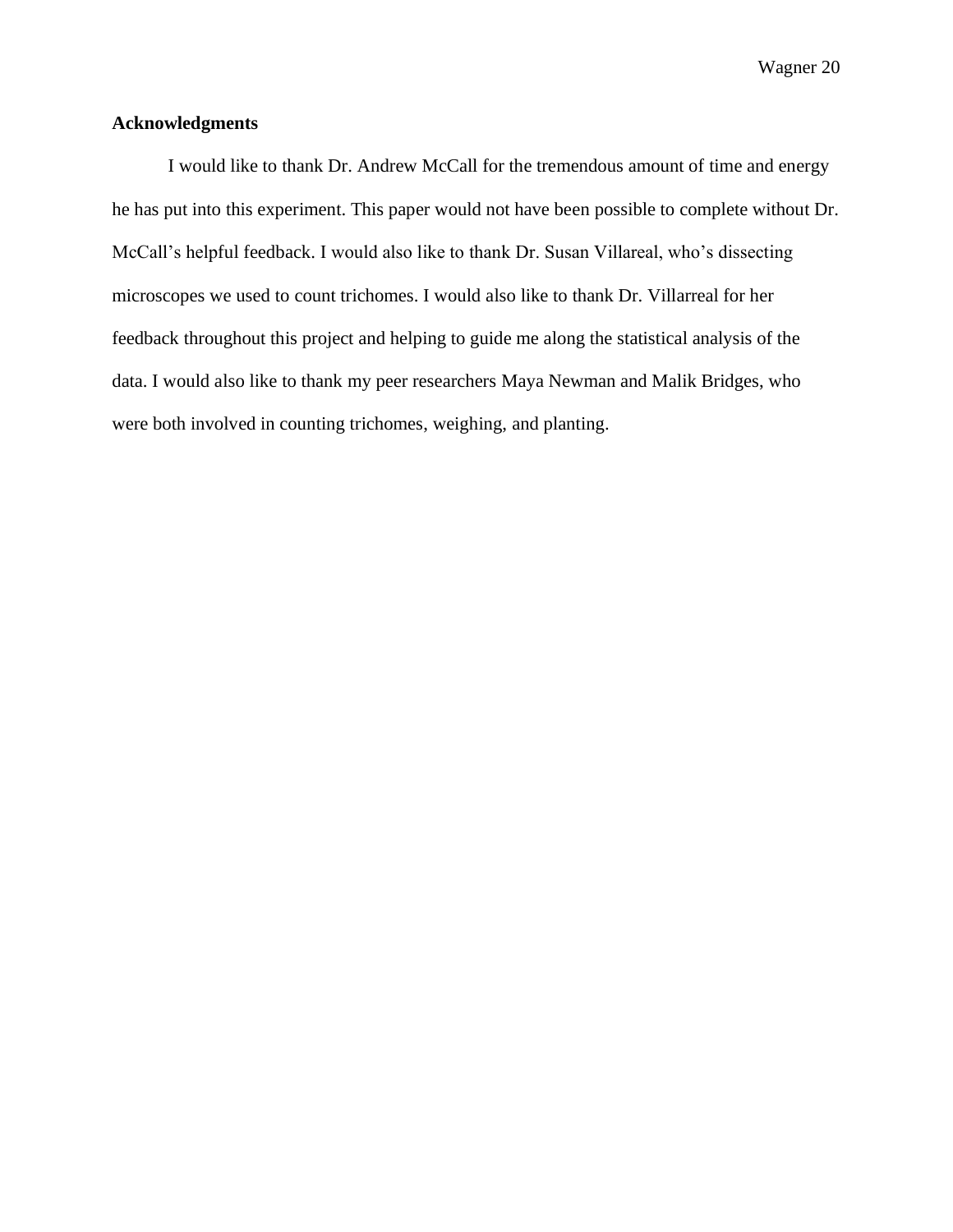### **Acknowledgments**

I would like to thank Dr. Andrew McCall for the tremendous amount of time and energy he has put into this experiment. This paper would not have been possible to complete without Dr. McCall's helpful feedback. I would also like to thank Dr. Susan Villareal, who's dissecting microscopes we used to count trichomes. I would also like to thank Dr. Villarreal for her feedback throughout this project and helping to guide me along the statistical analysis of the data. I would also like to thank my peer researchers Maya Newman and Malik Bridges, who were both involved in counting trichomes, weighing, and planting.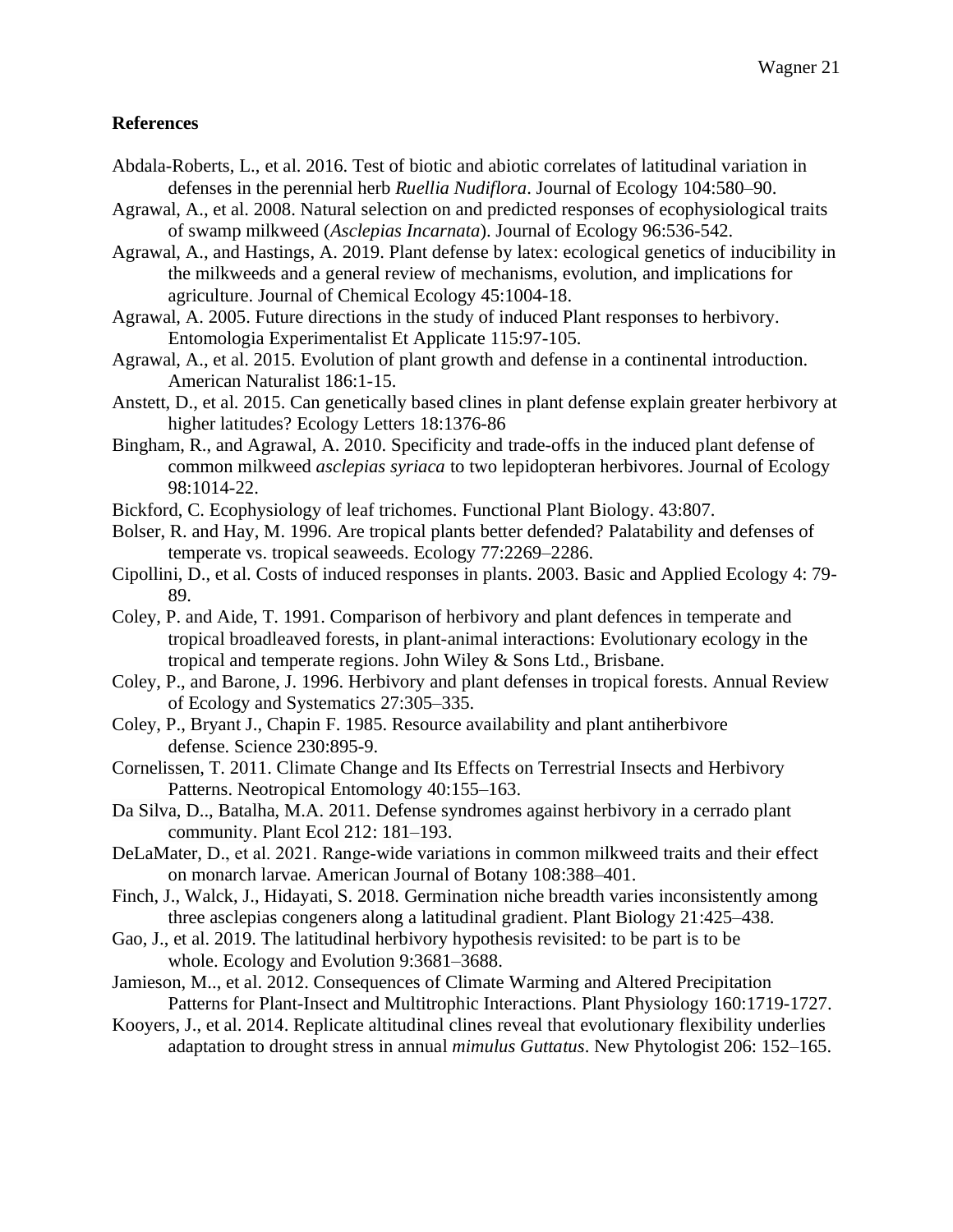## **References**

- Abdala-Roberts, L., et al. 2016. Test of biotic and abiotic correlates of latitudinal variation in defenses in the perennial herb *Ruellia Nudiflora*. Journal of Ecology 104:580–90.
- Agrawal, A., et al. 2008. Natural selection on and predicted responses of ecophysiological traits of swamp milkweed (*Asclepias Incarnata*). Journal of Ecology 96:536-542.
- Agrawal, A., and Hastings, A. 2019. Plant defense by latex: ecological genetics of inducibility in the milkweeds and a general review of mechanisms, evolution, and implications for agriculture. Journal of Chemical Ecology 45:1004-18.
- Agrawal, A. 2005. Future directions in the study of induced Plant responses to herbivory. Entomologia Experimentalist Et Applicate 115:97-105.
- Agrawal, A., et al. 2015. Evolution of plant growth and defense in a continental introduction. American Naturalist 186:1-15.
- Anstett, D., et al. 2015. Can genetically based clines in plant defense explain greater herbivory at higher latitudes? Ecology Letters 18:1376-86
- Bingham, R., and Agrawal, A. 2010. Specificity and trade-offs in the induced plant defense of common milkweed *asclepias syriaca* to two lepidopteran herbivores. Journal of Ecology 98:1014-22.
- Bickford, C. Ecophysiology of leaf trichomes. Functional Plant Biology. 43:807.
- Bolser, R. and Hay, M. 1996. Are tropical plants better defended? Palatability and defenses of temperate vs. tropical seaweeds. Ecology 77:2269–2286.
- Cipollini, D., et al. Costs of induced responses in plants. 2003. Basic and Applied Ecology 4: 79- 89.
- Coley, P. and Aide, T. 1991. Comparison of herbivory and plant defences in temperate and tropical broadleaved forests, in plant-animal interactions: Evolutionary ecology in the tropical and temperate regions. John Wiley & Sons Ltd., Brisbane.
- Coley, P., and Barone, J. 1996. Herbivory and plant defenses in tropical forests. Annual Review of Ecology and Systematics 27:305–335.
- Coley, P., Bryant J., Chapin F. 1985. Resource availability and plant antiherbivore defense. Science 230:895-9.
- Cornelissen, T. 2011. Climate Change and Its Effects on Terrestrial Insects and Herbivory Patterns. Neotropical Entomology 40:155–163.
- Da Silva, D.., Batalha, M.A. 2011. Defense syndromes against herbivory in a cerrado plant community. Plant Ecol 212: 181–193.
- DeLaMater, D., et al. 2021. Range-wide variations in common milkweed traits and their effect on monarch larvae. American Journal of Botany 108:388–401.
- Finch, J., Walck, J., Hidayati, S. 2018. Germination niche breadth varies inconsistently among three asclepias congeners along a latitudinal gradient. Plant Biology 21:425–438.
- Gao, J., et al. 2019. The latitudinal herbivory hypothesis revisited: to be part is to be whole. Ecology and Evolution 9:3681–3688.
- Jamieson, M.., et al. 2012. Consequences of Climate Warming and Altered Precipitation Patterns for Plant-Insect and Multitrophic Interactions. Plant Physiology 160:1719-1727.
- Kooyers, J., et al. 2014. Replicate altitudinal clines reveal that evolutionary flexibility underlies adaptation to drought stress in annual *mimulus Guttatus*. New Phytologist 206: 152–165.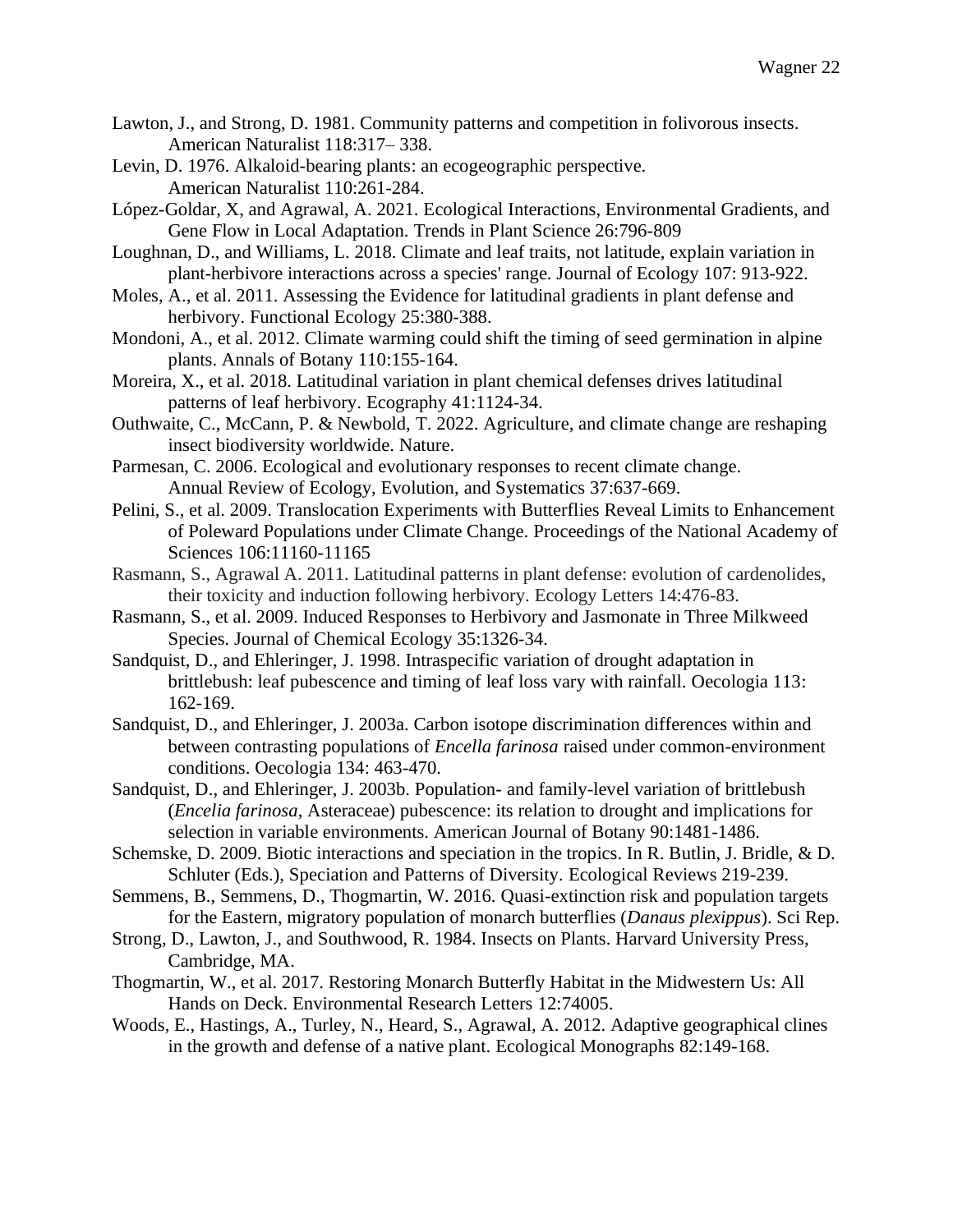- Lawton, J., and Strong, D. 1981. Community patterns and competition in folivorous insects. American Naturalist 118:317– 338.
- Levin, D. 1976. Alkaloid-bearing plants: an ecogeographic perspective. American Naturalist 110:261-284.
- López-Goldar, X, and Agrawal, A. 2021. Ecological Interactions, Environmental Gradients, and Gene Flow in Local Adaptation. Trends in Plant Science 26:796-809
- Loughnan, D., and Williams, L. 2018. Climate and leaf traits, not latitude, explain variation in plant-herbivore interactions across a species' range. Journal of Ecology 107: 913-922.
- Moles, A., et al. 2011. Assessing the Evidence for latitudinal gradients in plant defense and herbivory. Functional Ecology 25:380-388.
- Mondoni, A., et al. 2012. Climate warming could shift the timing of seed germination in alpine plants. Annals of Botany 110:155-164.
- Moreira, X., et al. 2018. Latitudinal variation in plant chemical defenses drives latitudinal patterns of leaf herbivory. Ecography 41:1124-34.
- Outhwaite, C., McCann, P. & Newbold, T. 2022. Agriculture, and climate change are reshaping insect biodiversity worldwide. Nature.
- Parmesan, C. 2006. Ecological and evolutionary responses to recent climate change. Annual Review of Ecology, Evolution, and Systematics 37:637-669.
- Pelini, S., et al. 2009. Translocation Experiments with Butterflies Reveal Limits to Enhancement of Poleward Populations under Climate Change. Proceedings of the National Academy of Sciences 106:11160-11165
- Rasmann, S., Agrawal A. 2011. Latitudinal patterns in plant defense: evolution of cardenolides, their toxicity and induction following herbivory. Ecology Letters 14:476-83.
- Rasmann, S., et al. 2009. Induced Responses to Herbivory and Jasmonate in Three Milkweed Species. Journal of Chemical Ecology 35:1326-34.
- Sandquist, D., and Ehleringer, J. 1998. Intraspecific variation of drought adaptation in brittlebush: leaf pubescence and timing of leaf loss vary with rainfall. Oecologia 113: 162-169.
- Sandquist, D., and Ehleringer, J. 2003a. Carbon isotope discrimination differences within and between contrasting populations of *Encella farinosa* raised under common-environment conditions. Oecologia 134: 463-470.
- Sandquist, D., and Ehleringer, J. 2003b. Population- and family-level variation of brittlebush (*Encelia farinosa*, Asteraceae) pubescence: its relation to drought and implications for selection in variable environments. American Journal of Botany 90:1481-1486.
- Schemske, D. 2009. Biotic interactions and speciation in the tropics. In R. Butlin, J. Bridle, & D. Schluter (Eds.), Speciation and Patterns of Diversity. Ecological Reviews 219-239.
- Semmens, B., Semmens, D., Thogmartin, W. 2016. Quasi-extinction risk and population targets for the Eastern, migratory population of monarch butterflies (*Danaus plexippus*). Sci Rep.
- Strong, D., Lawton, J., and Southwood, R. 1984. Insects on Plants. Harvard University Press, Cambridge, MA.
- Thogmartin, W., et al. 2017. Restoring Monarch Butterfly Habitat in the Midwestern Us: All Hands on Deck. Environmental Research Letters 12:74005.
- Woods, E., Hastings, A., Turley, N., Heard, S., Agrawal, A. 2012. Adaptive geographical clines in the growth and defense of a native plant. Ecological Monographs 82:149-168.